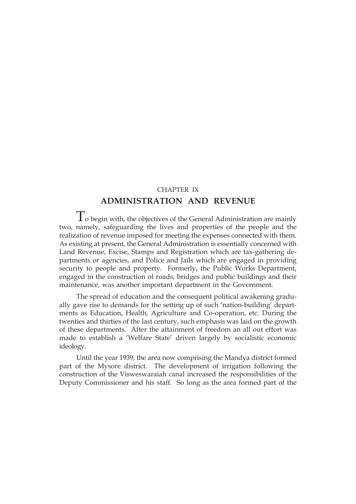# CHAPTER IX **ADMINISTRATION AND REVENUE**

To begin with, the objectives of the General Administration are mainly two, namely, safeguarding the lives and properties of the people and the realization of revenue imposed for meeting the expenses connected with them. As existing at present, the General Administration is essentially concerned with Land Revenue, Excise, Stamps and Registration which are tax-gathering departments or agencies, and Police and Jails which are engaged in providing security to people and property. Formerly, the Public Works Department, engaged in the construction of roads, bridges and public buildings and their maintenance, was another important department in the Government.

The spread of education and the consequent political awakening gradually gave rise to demands for the setting up of such 'nation-building' departments as Education, Health, Agriculture and Co-operation, etc. During the twenties and thirties of the last century, such emphasis was laid on the growth of these departments. After the attainment of freedom an all out effort was made to establish a 'Welfare State' driven largely by socialistic economic ideology.

Until the year 1939, the area now comprising the Mandya district formed part of the Mysore district. The development of irrigation following the construction of the Visweswaraiah canal increased the responsibilities of the Deputy Commissioner and his staff. So long as the area formed part of the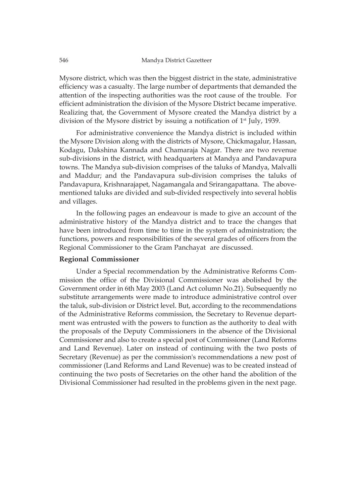Mysore district, which was then the biggest district in the state, administrative efficiency was a casualty. The large number of departments that demanded the attention of the inspecting authorities was the root cause of the trouble. For efficient administration the division of the Mysore District became imperative. Realizing that, the Government of Mysore created the Mandya district by a division of the Mysore district by issuing a notification of 1st July, 1939.

For administrative convenience the Mandya district is included within the Mysore Division along with the districts of Mysore, Chickmagalur, Hassan, Kodagu, Dakshina Kannada and Chamaraja Nagar. There are two revenue sub-divisions in the district, with headquarters at Mandya and Pandavapura towns. The Mandya sub-division comprises of the taluks of Mandya, Malvalli and Maddur; and the Pandavapura sub-division comprises the taluks of Pandavapura, Krishnarajapet, Nagamangala and Srirangapattana. The abovementioned taluks are divided and sub-divided respectively into several hoblis and villages.

In the following pages an endeavour is made to give an account of the administrative history of the Mandya district and to trace the changes that have been introduced from time to time in the system of administration; the functions, powers and responsibilities of the several grades of officers from the Regional Commissioner to the Gram Panchayat are discussed.

## **Regional Commissioner**

Under a Special recommendation by the Administrative Reforms Commission the office of the Divisional Commissioner was abolished by the Government order in 6th May 2003 (Land Act column No.21). Subsequently no substitute arrangements were made to introduce administrative control over the taluk, sub-division or District level. But, according to the recommendations of the Administrative Reforms commission, the Secretary to Revenue department was entrusted with the powers to function as the authority to deal with the proposals of the Deputy Commissioners in the absence of the Divisional Commissioner and also to create a special post of Commissioner (Land Reforms and Land Revenue). Later on instead of continuing with the two posts of Secretary (Revenue) as per the commission's recommendations a new post of commissioner (Land Reforms and Land Revenue) was to be created instead of continuing the two posts of Secretaries on the other hand the abolition of the Divisional Commissioner had resulted in the problems given in the next page.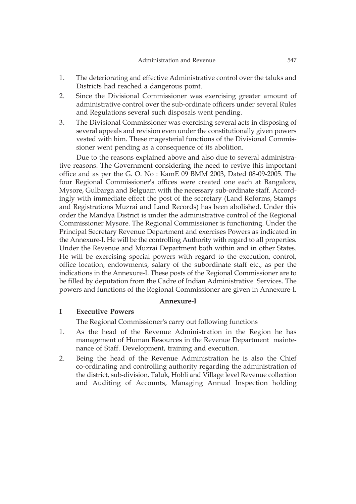- 1. The deteriorating and effective Administrative control over the taluks and Districts had reached a dangerous point.
- 2. Since the Divisional Commissioner was exercising greater amount of administrative control over the sub-ordinate officers under several Rules and Regulations several such disposals went pending.
- 3. The Divisional Commissioner was exercising several acts in disposing of several appeals and revision even under the constitutionally given powers vested with him. These magesterial functions of the Divisional Commissioner went pending as a consequence of its abolition.

Due to the reasons explained above and also due to several administrative reasons. The Government considering the need to revive this important office and as per the G. O. No : KamE 09 BMM 2003, Dated 08-09-2005. The four Regional Commissioner's offices were created one each at Bangalore, Mysore, Gulbarga and Belguam with the necessary sub-ordinate staff. Accordingly with immediate effect the post of the secretary (Land Reforms, Stamps and Registrations Muzrai and Land Records) has been abolished. Under this order the Mandya District is under the administrative control of the Regional Commissioner Mysore. The Regional Commissioner is functioning. Under the Principal Secretary Revenue Department and exercises Powers as indicated in the Annexure-I. He will be the controlling Authority with regard to all properties. Under the Revenue and Muzrai Department both within and in other States. He will be exercising special powers with regard to the execution, control, office location, endowments, salary of the subordinate staff etc., as per the indications in the Annexure-I. These posts of the Regional Commissioner are to be filled by deputation from the Cadre of Indian Administrative Services. The powers and functions of the Regional Commissioner are given in Annexure-I.

#### **Annexure-I**

## **I Executive Powers**

The Regional Commissioner's carry out following functions

- 1. As the head of the Revenue Administration in the Region he has management of Human Resources in the Revenue Department maintenance of Staff. Development, training and execution.
- 2. Being the head of the Revenue Administration he is also the Chief co-ordinating and controlling authority regarding the administration of the district, sub-division, Taluk, Hobli and Village level Revenue collection and Auditing of Accounts, Managing Annual Inspection holding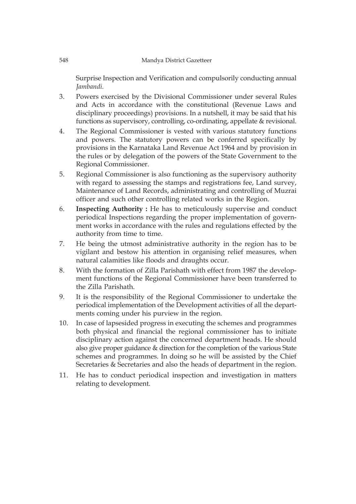Surprise Inspection and Verification and compulsorily conducting annual *Jambandi.*

- 3. Powers exercised by the Divisional Commissioner under several Rules and Acts in accordance with the constitutional (Revenue Laws and disciplinary proceedings) provisions. In a nutshell, it may be said that his functions as supervisory, controlling, co-ordinating, appellate & revisional.
- 4. The Regional Commissioner is vested with various statutory functions and powers. The statutory powers can be conferred specifically by provisions in the Karnataka Land Revenue Act 1964 and by provision in the rules or by delegation of the powers of the State Government to the Regional Commissioner.
- 5. Regional Commissioner is also functioning as the supervisory authority with regard to assessing the stamps and registrations fee, Land survey, Maintenance of Land Records, administrating and controlling of Muzrai officer and such other controlling related works in the Region.
- 6. **Inspecting Authority :** He has to meticulously supervise and conduct periodical Inspections regarding the proper implementation of government works in accordance with the rules and regulations effected by the authority from time to time.
- 7. He being the utmost administrative authority in the region has to be vigilant and bestow his attention in organising relief measures, when natural calamities like floods and draughts occur.
- 8. With the formation of Zilla Parishath with effect from 1987 the development functions of the Regional Commissioner have been transferred to the Zilla Parishath.
- 9. It is the responsibility of the Regional Commissioner to undertake the periodical implementation of the Development activities of all the departments coming under his purview in the region.
- 10. In case of lapsesided progress in executing the schemes and programmes both physical and financial the regional commissioner has to initiate disciplinary action against the concerned department heads. He should also give proper guidance & direction for the completion of the various State schemes and programmes. In doing so he will be assisted by the Chief Secretaries & Secretaries and also the heads of department in the region.
- 11. He has to conduct periodical inspection and investigation in matters relating to development.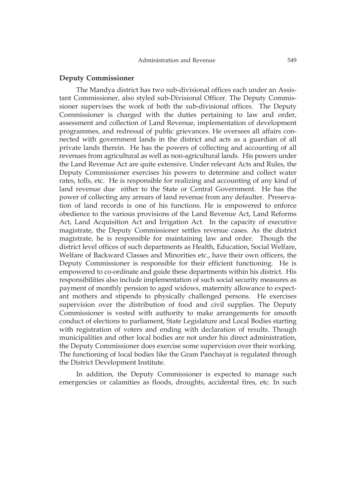#### **Deputy Commissioner**

The Mandya district has two sub-divisional offices each under an Assistant Commissioner, also styled sub-Divisional Officer. The Deputy Commissioner supervises the work of both the sub-divisional offices. The Deputy Commissioner is charged with the duties pertaining to law and order, assessment and collection of Land Revenue, implementation of development programmes, and redressal of public grievances. He oversees all affairs connected with government lands in the district and acts as a guardian of all private lands therein. He has the powers of collecting and accounting of all revenues from agricultural as well as non-agricultural lands. His powers under the Land Revenue Act are quite extensive. Under relevant Acts and Rules, the Deputy Commissioner exercises his powers to determine and collect water rates, tolls, etc. He is responsible for realizing and accounting of any kind of land revenue due either to the State or Central Government. He has the power of collecting any arrears of land revenue from any defaulter. Preservation of land records is one of his functions. He is empowered to enforce obedience to the various provisions of the Land Revenue Act, Land Reforms Act, Land Acquisition Act and Irrigation Act. In the capacity of executive magistrate, the Deputy Commissioner settles revenue cases. As the district magistrate, he is responsible for maintaining law and order. Though the district level offices of such departments as Health, Education, Social Welfare, Welfare of Backward Classes and Minorities etc., have their own officers, the Deputy Commissioner is responsible for their efficient functioning. He is empowered to co-ordinate and guide these departments within his district. His responsibilities also include implementation of such social security measures as payment of monthly pension to aged widows, maternity allowance to expectant mothers and stipends to physically challenged persons. He exercises supervision over the distribution of food and civil supplies. The Deputy Commissioner is vested with authority to make arrangements for smooth conduct of elections to parliament, State Legislature and Local Bodies starting with registration of voters and ending with declaration of results. Though municipalities and other local bodies are not under his direct administration, the Deputy Commissioner does exercise some supervision over their working. The functioning of local bodies like the Gram Panchayat is regulated through the District Development Institute.

In addition, the Deputy Commissioner is expected to manage such emergencies or calamities as floods, droughts, accidental fires, etc. In such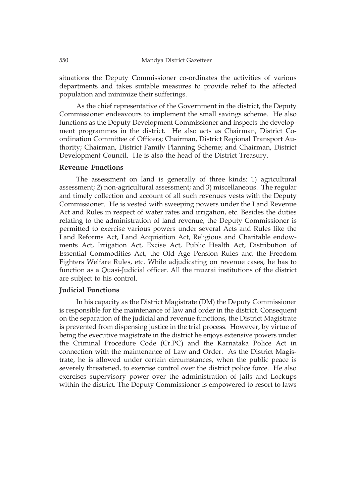situations the Deputy Commissioner co-ordinates the activities of various departments and takes suitable measures to provide relief to the affected population and minimize their sufferings.

As the chief representative of the Government in the district, the Deputy Commissioner endeavours to implement the small savings scheme. He also functions as the Deputy Development Commissioner and inspects the development programmes in the district. He also acts as Chairman, District Coordination Committee of Officers; Chairman, District Regional Transport Authority; Chairman, District Family Planning Scheme; and Chairman, District Development Council. He is also the head of the District Treasury.

## **Revenue Functions**

The assessment on land is generally of three kinds: 1) agricultural assessment; 2) non-agricultural assessment; and 3) miscellaneous. The regular and timely collection and account of all such revenues vests with the Deputy Commissioner. He is vested with sweeping powers under the Land Revenue Act and Rules in respect of water rates and irrigation, etc. Besides the duties relating to the administration of land revenue, the Deputy Commissioner is permitted to exercise various powers under several Acts and Rules like the Land Reforms Act, Land Acquisition Act, Religious and Charitable endowments Act, Irrigation Act, Excise Act, Public Health Act, Distribution of Essential Commodities Act, the Old Age Pension Rules and the Freedom Fighters Welfare Rules, etc. While adjudicating on revenue cases, he has to function as a Quasi-Judicial officer. All the muzrai institutions of the district are subject to his control.

#### **Judicial Functions**

In his capacity as the District Magistrate (DM) the Deputy Commissioner is responsible for the maintenance of law and order in the district. Consequent on the separation of the judicial and revenue functions, the District Magistrate is prevented from dispensing justice in the trial process. However, by virtue of being the executive magistrate in the district he enjoys extensive powers under the Criminal Procedure Code (Cr.PC) and the Karnataka Police Act in connection with the maintenance of Law and Order. As the District Magistrate, he is allowed under certain circumstances, when the public peace is severely threatened, to exercise control over the district police force. He also exercises supervisory power over the administration of Jails and Lockups within the district. The Deputy Commissioner is empowered to resort to laws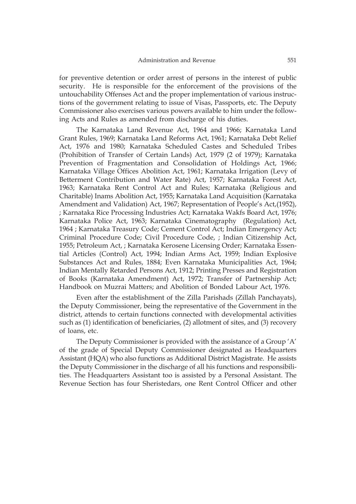for preventive detention or order arrest of persons in the interest of public security. He is responsible for the enforcement of the provisions of the untouchability Offenses Act and the proper implementation of various instructions of the government relating to issue of Visas, Passports, etc. The Deputy Commissioner also exercises various powers available to him under the following Acts and Rules as amended from discharge of his duties.

The Karnataka Land Revenue Act, 1964 and 1966; Karnataka Land Grant Rules, 1969; Karnataka Land Reforms Act, 1961; Karnataka Debt Relief Act, 1976 and 1980; Karnataka Scheduled Castes and Scheduled Tribes (Prohibition of Transfer of Certain Lands) Act, 1979 (2 of 1979); Karnataka Prevention of Fragmentation and Consolidation of Holdings Act, 1966; Karnataka Village Offices Abolition Act, 1961; Karnataka Irrigation (Levy of Betterment Contribution and Water Rate) Act, 1957; Karnataka Forest Act, 1963; Karnataka Rent Control Act and Rules; Karnataka (Religious and Charitable) Inams Abolition Act, 1955; Karnataka Land Acquisition (Karnataka Amendment and Validation) Act, 1967; Representation of People's Act,(1952), ; Karnataka Rice Processing Industries Act; Karnataka Wakfs Board Act, 1976; Karnataka Police Act, 1963; Karnataka Cinematography (Regulation) Act, 1964 ; Karnataka Treasury Code; Cement Control Act; Indian Emergency Act; Criminal Procedure Code; Civil Procedure Code, ; Indian Citizenship Act, 1955; Petroleum Act, ; Karnataka Kerosene Licensing Order; Karnataka Essential Articles (Control) Act, 1994; Indian Arms Act, 1959; Indian Explosive Substances Act and Rules, 1884; Even Karnataka Municipalities Act, 1964; Indian Mentally Retarded Persons Act, 1912; Printing Presses and Registration of Books (Karnataka Amendment) Act, 1972; Transfer of Partnership Act; Handbook on Muzrai Matters; and Abolition of Bonded Labour Act, 1976.

Even after the establishment of the Zilla Parishads (Zillah Panchayats), the Deputy Commissioner, being the representative of the Government in the district, attends to certain functions connected with developmental activities such as (1) identification of beneficiaries, (2) allotment of sites, and (3) recovery of loans, etc.

The Deputy Commissioner is provided with the assistance of a Group 'A' of the grade of Special Deputy Commissioner designated as Headquarters Assistant (HQA) who also functions as Additional District Magistrate. He assists the Deputy Commissioner in the discharge of all his functions and responsibilities. The Headquarters Assistant too is assisted by a Personal Assistant. The Revenue Section has four Sheristedars, one Rent Control Officer and other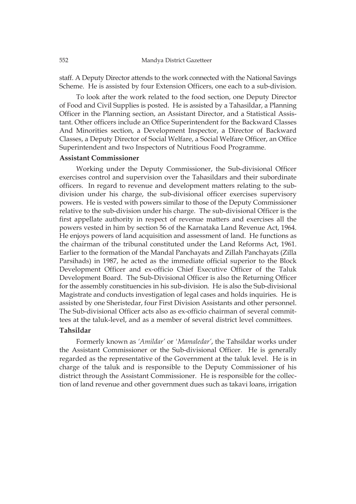staff. A Deputy Director attends to the work connected with the National Savings Scheme. He is assisted by four Extension Officers, one each to a sub-division.

To look after the work related to the food section, one Deputy Director of Food and Civil Supplies is posted. He is assisted by a Tahasildar, a Planning Officer in the Planning section, an Assistant Director, and a Statistical Assistant. Other officers include an Office Superintendent for the Backward Classes And Minorities section, a Development Inspector, a Director of Backward Classes, a Deputy Director of Social Welfare, a Social Welfare Officer, an Office Superintendent and two Inspectors of Nutritious Food Programme.

## **Assistant Commissioner**

Working under the Deputy Commissioner, the Sub-divisional Officer exercises control and supervision over the Tahasildars and their subordinate officers. In regard to revenue and development matters relating to the subdivision under his charge, the sub-divisional officer exercises supervisory powers. He is vested with powers similar to those of the Deputy Commissioner relative to the sub-division under his charge. The sub-divisional Officer is the first appellate authority in respect of revenue matters and exercises all the powers vested in him by section 56 of the Karnataka Land Revenue Act, 1964. He enjoys powers of land acquisition and assessment of land. He functions as the chairman of the tribunal constituted under the Land Reforms Act, 1961. Earlier to the formation of the Mandal Panchayats and Zillah Panchayats (Zilla Parsihads) in 1987, he acted as the immediate official superior to the Block Development Officer and ex-officio Chief Executive Officer of the Taluk Development Board. The Sub-Divisional Officer is also the Returning Officer for the assembly constituencies in his sub-division. He is also the Sub-divisional Magistrate and conducts investigation of legal cases and holds inquiries. He is assisted by one Sheristedar, four First Division Assistants and other personnel. The Sub-divisional Officer acts also as ex-officio chairman of several committees at the taluk-level, and as a member of several district level committees.

#### **Tahsildar**

Formerly known as *'Amildar'* or *'Mamaledar'*, the Tahsildar works under the Assistant Commissioner or the Sub-divisional Officer. He is generally regarded as the representative of the Government at the taluk level. He is in charge of the taluk and is responsible to the Deputy Commissioner of his district through the Assistant Commissioner. He is responsible for the collection of land revenue and other government dues such as takavi loans, irrigation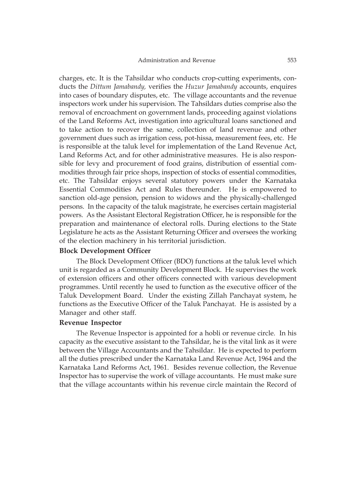charges, etc. It is the Tahsildar who conducts crop-cutting experiments, conducts the *Dittum Jamabandy,* verifies the *Huzur Jamabandy* accounts, enquires into cases of boundary disputes, etc. The village accountants and the revenue inspectors work under his supervision. The Tahsildars duties comprise also the removal of encroachment on government lands, proceeding against violations of the Land Reforms Act, investigation into agricultural loans sanctioned and to take action to recover the same, collection of land revenue and other government dues such as irrigation cess, pot-hissa, measurement fees, etc. He is responsible at the taluk level for implementation of the Land Revenue Act, Land Reforms Act, and for other administrative measures. He is also responsible for levy and procurement of food grains, distribution of essential commodities through fair price shops, inspection of stocks of essential commodities, etc. The Tahsildar enjoys several statutory powers under the Karnataka Essential Commodities Act and Rules thereunder. He is empowered to sanction old-age pension, pension to widows and the physically-challenged persons. In the capacity of the taluk magistrate, he exercises certain magisterial powers. As the Assistant Electoral Registration Officer, he is responsible for the preparation and maintenance of electoral rolls. During elections to the State Legislature he acts as the Assistant Returning Officer and oversees the working of the election machinery in his territorial jurisdiction.

## **Block Development Officer**

The Block Development Officer (BDO) functions at the taluk level which unit is regarded as a Community Development Block. He supervises the work of extension officers and other officers connected with various development programmes. Until recently he used to function as the executive officer of the Taluk Development Board. Under the existing Zillah Panchayat system, he functions as the Executive Officer of the Taluk Panchayat. He is assisted by a Manager and other staff.

#### **Revenue Inspector**

The Revenue Inspector is appointed for a hobli or revenue circle. In his capacity as the executive assistant to the Tahsildar, he is the vital link as it were between the Village Accountants and the Tahsildar. He is expected to perform all the duties prescribed under the Karnataka Land Revenue Act, 1964 and the Karnataka Land Reforms Act, 1961. Besides revenue collection, the Revenue Inspector has to supervise the work of village accountants. He must make sure that the village accountants within his revenue circle maintain the Record of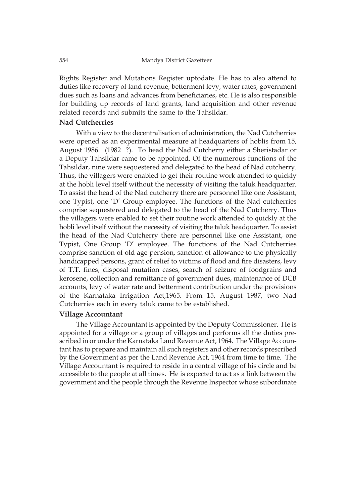Rights Register and Mutations Register uptodate. He has to also attend to duties like recovery of land revenue, betterment levy, water rates, government dues such as loans and advances from beneficiaries, etc. He is also responsible for building up records of land grants, land acquisition and other revenue related records and submits the same to the Tahsildar.

### **Nad Cutcherries**

With a view to the decentralisation of administration, the Nad Cutcherries were opened as an experimental measure at headquarters of hoblis from 15, August 1986. (1982 ?). To head the Nad Cutcherry either a Sheristadar or a Deputy Tahsildar came to be appointed. Of the numerous functions of the Tahsildar, nine were sequestered and delegated to the head of Nad cutcherry. Thus, the villagers were enabled to get their routine work attended to quickly at the hobli level itself without the necessity of visiting the taluk headquarter. To assist the head of the Nad cutcherry there are personnel like one Assistant, one Typist, one 'D' Group employee. The functions of the Nad cutcherries comprise sequestered and delegated to the head of the Nad Cutcherry. Thus the villagers were enabled to set their routine work attended to quickly at the hobli level itself without the necessity of visiting the taluk headquarter. To assist the head of the Nad Cutcherry there are personnel like one Assistant, one Typist, One Group 'D' employee. The functions of the Nad Cutcherries comprise sanction of old age pension, sanction of allowance to the physically handicapped persons, grant of relief to victims of flood and fire disasters, levy of T.T. fines, disposal mutation cases, search of seizure of foodgrains and kerosene, collection and remittance of government dues, maintenance of DCB accounts, levy of water rate and betterment contribution under the provisions of the Karnataka Irrigation Act,1965. From 15, August 1987, two Nad Cutcherries each in every taluk came to be established.

## **Village Accountant**

The Village Accountant is appointed by the Deputy Commissioner. He is appointed for a village or a group of villages and performs all the duties prescribed in or under the Karnataka Land Revenue Act, 1964. The Village Accountant has to prepare and maintain all such registers and other records prescribed by the Government as per the Land Revenue Act, 1964 from time to time. The Village Accountant is required to reside in a central village of his circle and be accessible to the people at all times. He is expected to act as a link between the government and the people through the Revenue Inspector whose subordinate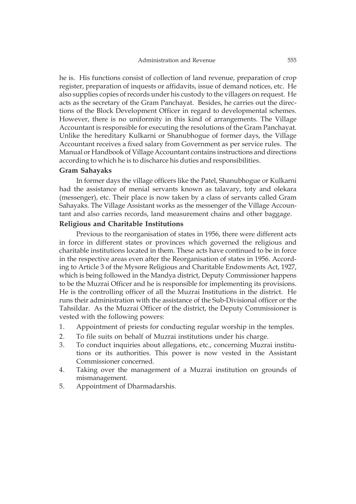he is. His functions consist of collection of land revenue, preparation of crop register, preparation of inquests or affidavits, issue of demand notices, etc. He also supplies copies of records under his custody to the villagers on request. He acts as the secretary of the Gram Panchayat. Besides, he carries out the directions of the Block Development Officer in regard to developmental schemes. However, there is no uniformity in this kind of arrangements. The Village Accountant is responsible for executing the resolutions of the Gram Panchayat. Unlike the hereditary Kulkarni or Shanubhogue of former days, the Village Accountant receives a fixed salary from Government as per service rules. The Manual or Handbook of Village Accountant contains instructions and directions according to which he is to discharce his duties and responsibilities.

## **Gram Sahayaks**

In former days the village officers like the Patel, Shanubhogue or Kulkarni had the assistance of menial servants known as talavary, toty and olekara (messenger), etc. Their place is now taken by a class of servants called Gram Sahayaks. The Village Assistant works as the messenger of the Village Accountant and also carries records, land measurement chains and other baggage.

## **Religious and Charitable Institutions**

Previous to the reorganisation of states in 1956, there were different acts in force in different states or provinces which governed the religious and charitable institutions located in them. These acts have continued to be in force in the respective areas even after the Reorganisation of states in 1956. According to Article 3 of the Mysore Religious and Charitable Endowments Act, 1927, which is being followed in the Mandya district, Deputy Commissioner happens to be the Muzrai Officer and he is responsible for implementing its provisions. He is the controlling officer of all the Muzrai Institutions in the district. He runs their administration with the assistance of the Sub-Divisional officer or the Tahsildar. As the Muzrai Officer of the district, the Deputy Commissioner is vested with the following powers:

- 1. Appointment of priests for conducting regular worship in the temples.
- 2. To file suits on behalf of Muzrai institutions under his charge.
- 3. To conduct inquiries about allegations, etc., concerning Muzrai institutions or its authorities. This power is now vested in the Assistant Commissioner concerned.
- 4. Taking over the management of a Muzrai institution on grounds of mismanagement.
- 5. Appointment of Dharmadarshis.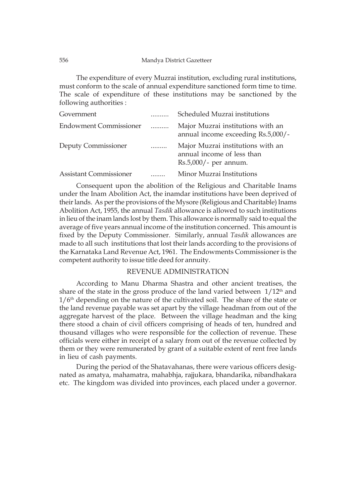The expenditure of every Muzrai institution, excluding rural institutions, must conform to the scale of annual expenditure sanctioned form time to time. The scale of expenditure of these institutions may be sanctioned by the following authorities :

| Government                    |   | Scheduled Muzrai institutions                                                               |
|-------------------------------|---|---------------------------------------------------------------------------------------------|
| <b>Endowment Commissioner</b> | . | Major Muzrai institutions with an<br>annual income exceeding Rs.5,000/-                     |
| Deputy Commissioner           | . | Major Muzrai institutions with an<br>annual income of less than<br>$Rs.5,000/$ - per annum. |
| <b>Assistant Commissioner</b> |   | Minor Muzrai Institutions                                                                   |

Consequent upon the abolition of the Religious and Charitable Inams under the Inam Abolition Act, the inamdar institutions have been deprived of their lands. As per the provisions of the Mysore (Religious and Charitable) Inams Abolition Act, 1955, the annual *Tasdik* allowance is allowed to such institutions in lieu of the inam lands lost by them. This allowance is normally said to equal the average of five years annual income of the institution concerned. This amount is fixed by the Deputy Commissioner. Similarly, annual *Tasdik* allowances are made to all such institutions that lost their lands according to the provisions of the Karnataka Land Revenue Act, 1961. The Endowments Commissioner is the competent authority to issue title deed for annuity.

# REVENUE ADMINISTRATION

According to Manu Dharma Shastra and other ancient treatises, the share of the state in the gross produce of the land varied between  $1/12<sup>th</sup>$  and 1/6th depending on the nature of the cultivated soil. The share of the state or the land revenue payable was set apart by the village headman from out of the aggregate harvest of the place. Between the village headman and the king there stood a chain of civil officers comprising of heads of ten, hundred and thousand villages who were responsible for the collection of revenue. These officials were either in receipt of a salary from out of the revenue collected by them or they were remunerated by grant of a suitable extent of rent free lands in lieu of cash payments.

During the period of the Shatavahanas, there were various officers designated as amatya, mahamatra, mahabhja, rajjukara, bhandarika, nibandhakara etc. The kingdom was divided into provinces, each placed under a governor.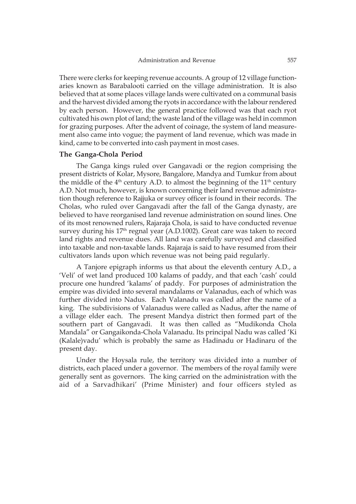There were clerks for keeping revenue accounts. A group of 12 village functionaries known as Barabalooti carried on the village administration. It is also believed that at some places village lands were cultivated on a communal basis and the harvest divided among the ryots in accordance with the labour rendered by each person. However, the general practice followed was that each ryot cultivated his own plot of land; the waste land of the village was held in common for grazing purposes. After the advent of coinage, the system of land measurement also came into vogue; the payment of land revenue, which was made in kind, came to be converted into cash payment in most cases.

#### **The Ganga-Chola Period**

The Ganga kings ruled over Gangavadi or the region comprising the present districts of Kolar, Mysore, Bangalore, Mandya and Tumkur from about the middle of the  $4<sup>th</sup>$  century A.D. to almost the beginning of the  $11<sup>th</sup>$  century A.D. Not much, however, is known concerning their land revenue administration though reference to Rajjuka or survey officer is found in their records. The Cholas, who ruled over Gangavadi after the fall of the Ganga dynasty, are believed to have reorganised land revenue administration on sound lines. One of its most renowned rulers, Rajaraja Chola, is said to have conducted revenue survey during his  $17<sup>th</sup>$  regnal year (A.D.1002). Great care was taken to record land rights and revenue dues. All land was carefully surveyed and classified into taxable and non-taxable lands. Rajaraja is said to have resumed from their cultivators lands upon which revenue was not being paid regularly.

A Tanjore epigraph informs us that about the eleventh century A.D., a 'Veli' of wet land produced 100 kalams of paddy, and that each 'cash' could procure one hundred 'kalams' of paddy. For purposes of administration the empire was divided into several mandalams or Valanadus, each of which was further divided into Nadus. Each Valanadu was called after the name of a king. The subdivisions of Valanadus were called as Nadus, after the name of a village elder each. The present Mandya district then formed part of the southern part of Gangavadi. It was then called as "Mudikonda Chola Mandala" or Gangaikonda-Chola Valanadu. Its principal Nadu was called 'Ki (Kalale)vadu' which is probably the same as Hadinadu or Hadinaru of the present day.

Under the Hoysala rule, the territory was divided into a number of districts, each placed under a governor. The members of the royal family were generally sent as governors. The king carried on the administration with the aid of a Sarvadhikari' (Prime Minister) and four officers styled as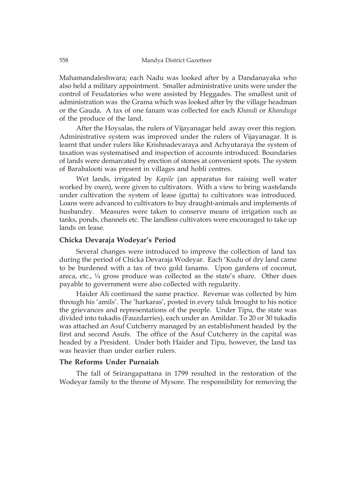Mahamandaleshwara; each Nadu was looked after by a Dandanayaka who also held a military appointment. Smaller administrative units were under the control of Feudatories who were assisted by Heggades. The smallest unit of administration was the Grama which was looked after by the village headman or the Gauda. A tax of one fanam was collected for each *Khandi* or *Khanduga* of the produce of the land.

After the Hoysalas, the rulers of Vijayanagar held away over this region. Administrative system was improved under the rulers of Vijayanagar. It is learnt that under rulers like Krishnadevaraya and Achyutaraya the system of taxation was systematised and inspection of accounts introduced. Boundaries of lands were demarcated by erection of stones at convenient spots. The system of Barabalooti was present in villages and hobli centres.

Wet lands, irrigated by *Kapile* (an apparatus for raising well water worked by oxen), were given to cultivators. With a view to bring wastelands under cultivation the system of lease (gutta) to cultivators was introduced. Loans were advanced to cultivators to buy draught-animals and implements of husbandry. Measures were taken to conserve means of irrigation such as tanks, ponds, channels etc. The landless cultivators were encouraged to take up lands on lease.

# **Chicka Devaraja Wodeyar's Period**

Several changes were introduced to improve the collection of land tax during the period of Chicka Devaraja Wodeyar. Each 'Kudu of dry land came to be burdened with a tax of two gold fanams. Upon gardens of coconut, areca, etc.,  $\frac{1}{4}$  gross produce was collected as the state's share. Other dues payable to government were also collected with regularity.

Haider Ali continued the same practice. Revenue was collected by him through his 'amils'. The 'harkaras', posted in every taluk brought to his notice the grievances and representations of the people. Under Tipu, the state was divided into tukadis (Fauzdarries), each under an Amildar. To 20 or 30 tukadis was attached an Asuf Cutcherry managed by an establishment headed by the first and second Asufs. The office of the Asuf Cutcherry in the capital was headed by a President. Under both Haider and Tipu, however, the land tax was heavier than under earlier rulers.

#### **The Reforms Under Purnaiah**

The fall of Srirangapattana in 1799 resulted in the restoration of the Wodeyar family to the throne of Mysore. The responsibility for removing the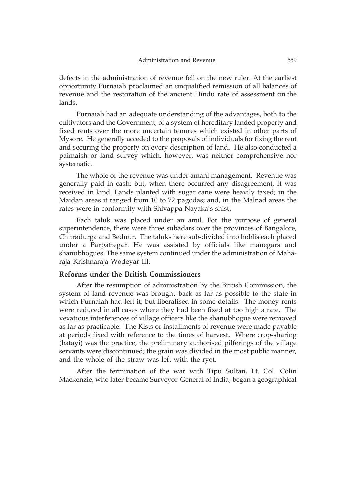defects in the administration of revenue fell on the new ruler. At the earliest opportunity Purnaiah proclaimed an unqualified remission of all balances of revenue and the restoration of the ancient Hindu rate of assessment on the lands.

Purnaiah had an adequate understanding of the advantages, both to the cultivators and the Government, of a system of hereditary landed property and fixed rents over the more uncertain tenures which existed in other parts of Mysore. He generally acceded to the proposals of individuals for fixing the rent and securing the property on every description of land. He also conducted a paimaish or land survey which, however, was neither comprehensive nor systematic.

The whole of the revenue was under amani management. Revenue was generally paid in cash; but, when there occurred any disagreement, it was received in kind. Lands planted with sugar cane were heavily taxed; in the Maidan areas it ranged from 10 to 72 pagodas; and, in the Malnad areas the rates were in conformity with Shivappa Nayaka's shist.

Each taluk was placed under an amil. For the purpose of general superintendence, there were three subadars over the provinces of Bangalore, Chitradurga and Bednur. The taluks here sub-divided into hoblis each placed under a Parpattegar. He was assisted by officials like manegars and shanubhogues. The same system continued under the administration of Maharaja Krishnaraja Wodeyar III.

#### **Reforms under the British Commissioners**

After the resumption of administration by the British Commission, the system of land revenue was brought back as far as possible to the state in which Purnaiah had left it, but liberalised in some details. The money rents were reduced in all cases where they had been fixed at too high a rate. The vexatious interferences of village officers like the shanubhogue were removed as far as practicable. The Kists or installments of revenue were made payable at periods fixed with reference to the times of harvest. Where crop-sharing (batayi) was the practice, the preliminary authorised pilferings of the village servants were discontinued; the grain was divided in the most public manner, and the whole of the straw was left with the ryot.

After the termination of the war with Tipu Sultan, Lt. Col. Colin Mackenzie, who later became Surveyor-General of India, began a geographical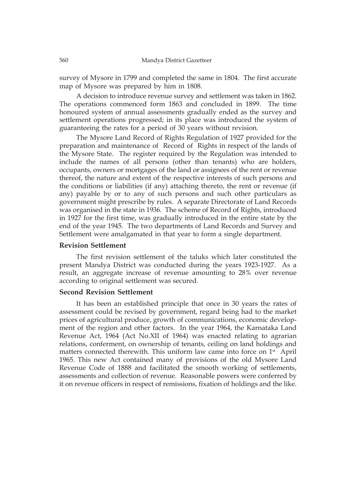survey of Mysore in 1799 and completed the same in 1804. The first accurate map of Mysore was prepared by him in 1808.

A decision to introduce revenue survey and settlement was taken in 1862. The operations commenced form 1863 and concluded in 1899. The time honoured system of annual assessments gradually ended as the survey and settlement operations progressed; in its place was introduced the system of guaranteeing the rates for a period of 30 years without revision.

The Mysore Land Record of Rights Regulation of 1927 provided for the preparation and maintenance of Record of Rights in respect of the lands of the Mysore State. The register required by the Regulation was intended to include the names of all persons (other than tenants) who are holders, occupants, owners or mortgages of the land or assignees of the rent or revenue thereof, the nature and extent of the respective interests of such persons and the conditions or liabilities (if any) attaching thereto, the rent or revenue (if any) payable by or to any of such persons and such other particulars as government might prescribe by rules. A separate Directorate of Land Records was organised in the state in 1936. The scheme of Record of Rights, introduced in 1927 for the first time, was gradually introduced in the entire state by the end of the year 1945. The two departments of Land Records and Survey and Settlement were amalgamated in that year to form a single department.

#### **Revision Settlement**

The first revision settlement of the taluks which later constituted the present Mandya District was conducted during the years 1923-1927. As a result, an aggregate increase of revenue amounting to 28% over revenue according to original settlement was secured.

## **Second Revision Settlement**

It has been an established principle that once in 30 years the rates of assessment could be revised by government, regard being had to the market prices of agricultural produce, growth of communications, economic development of the region and other factors. In the year 1964, the Karnataka Land Revenue Act, 1964 (Act No.XII of 1964) was enacted relating to agrarian relations, conferment, on ownership of tenants, ceiling on land holdings and matters connected therewith. This uniform law came into force on 1<sup>st</sup> April 1965. This new Act contained many of provisions of the old Mysore Land Revenue Code of 1888 and facilitated the smooth working of settlements, assessments and collection of revenue. Reasonable powers were conferred by it on revenue officers in respect of remissions, fixation of holdings and the like.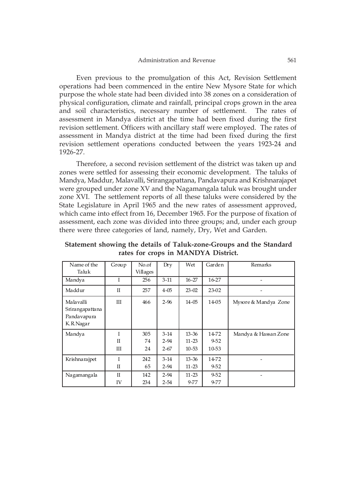Even previous to the promulgation of this Act, Revision Settlement operations had been commenced in the entire New Mysore State for which purpose the whole state had been divided into 38 zones on a consideration of physical configuration, climate and rainfall, principal crops grown in the area and soil characteristics, necessary number of settlement. The rates of assessment in Mandya district at the time had been fixed during the first revision settlement. Officers with ancillary staff were employed. The rates of assessment in Mandya district at the time had been fixed during the first revision settlement operations conducted between the years 1923-24 and 1926-27.

Therefore, a second revision settlement of the district was taken up and zones were settled for assessing their economic development. The taluks of Mandya, Maddur, Malavalli, Srirangapattana, Pandavapura and Krishnarajapet were grouped under zone XV and the Nagamangala taluk was brought under zone XVI. The settlement reports of all these taluks were considered by the State Legislature in April 1965 and the new rates of assessment approved, which came into effect from 16, December 1965. For the purpose of fixation of assessment, each zone was divided into three groups; and, under each group there were three categories of land, namely, Dry, Wet and Garden.

Name of the Taluk Group No.of Villages Dry Wet Garden Remarks Mandya I 256 3-11 16-27 16-27 - Maddur II 257 4-05 23-02 23-02 - Malavalli Srirangapattana III 466 2-96 14-05 14-05 Mysore & Mandya Zone

13-36 11-23 10-53

13-36 11-23

11-23 9-77 14-72 9-52 10-53

 $14-72$ 9-52

> 9-52 9-77

Mandya & Hassan Zone

-

-

Pandavapura K.R.Nagar

Mandya I

Krishnarajpet I

Nagamangala II

II III

II

IV

305 74 24

242 65

142 234

3-14 2-94 2-67

3-14 2-94

2-94 2-54

**Statement showing the details of Taluk-zone-Groups and the Standard rates for crops in MANDYA District.**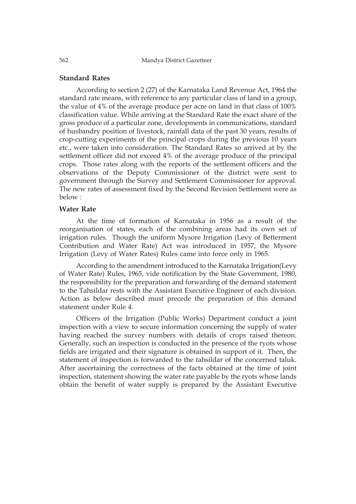562 Mandya District Gazetteer

### **Standard Rates**

According to section 2 (27) of the Karnataka Land Revenue Act, 1964 the standard rate means, with reference to any particular class of land in a group, the value of 4% of the average produce per acre on land in that class of 100% classification value. While arriving at the Standard Rate the exact share of the gross produce of a particular zone, developments in communications, standard of husbandry position of livestock, rainfall data of the past 30 years, results of crop-cutting experiments of the principal crops during the previous 10 years etc., were taken into consideration. The Standard Rates so arrived at by the settlement officer did not exceed 4% of the average produce of the principal crops. Those rates along with the reports of the settlement officers and the observations of the Deputy Commissioner of the district were sent to government through the Survey and Settlement Commissioner for approval. The new rates of assessment fixed by the Second Revision Settlement were as below :

## **Water Rate**

At the time of formation of Karnataka in 1956 as a result of the reorganisation of states, each of the combining areas had its own set of irrigation rules. Though the uniform Mysore Irrigation (Levy of Betterment Contribution and Water Rate) Act was introduced in 1957, the Mysore Irrigation (Levy of Water Rates) Rules came into force only in 1965.

According to the amendment introduced to the Karnataka Irrigation(Levy of Water Rate) Rules, 1965, vide notification by the State Government, 1980, the responsibility for the preparation and forwarding of the demand statement to the Tahsildar rests with the Assistant Executive Engineer of each division. Action as below described must precede the preparation of this demand statement under Rule 4.

Officers of the Irrigation (Public Works) Department conduct a joint inspection with a view to secure information concerning the supply of water having reached the survey numbers with details of crops raised thereon. Generally, such an inspection is conducted in the presence of the ryots whose fields are irrigated and their signature is obtained in support of it. Then, the statement of inspection is forwarded to the tahsildar of the concerned taluk. After ascertaining the correctness of the facts obtained at the time of joint inspection, statement showing the water rate payable by the ryots whose lands obtain the benefit of water supply is prepared by the Assistant Executive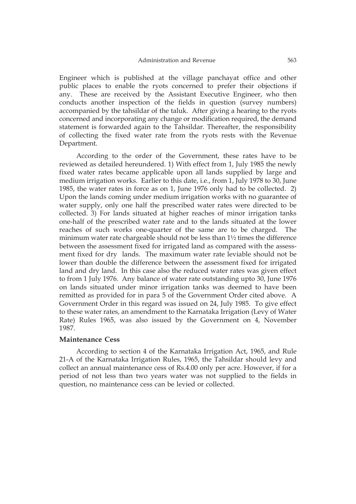Engineer which is published at the village panchayat office and other public places to enable the ryots concerned to prefer their objections if any. These are received by the Assistant Executive Engineer, who then conducts another inspection of the fields in question (survey numbers) accompanied by the tahsildar of the taluk. After giving a hearing to the ryots concerned and incorporating any change or modification required, the demand statement is forwarded again to the Tahsildar. Thereafter, the responsibility of collecting the fixed water rate from the ryots rests with the Revenue Department.

According to the order of the Government, these rates have to be reviewed as detailed hereundered. 1) With effect from 1, July 1985 the newly fixed water rates became applicable upon all lands supplied by large and medium irrigation works. Earlier to this date, i.e., from 1, July 1978 to 30, June 1985, the water rates in force as on 1, June 1976 only had to be collected. 2) Upon the lands coming under medium irrigation works with no guarantee of water supply, only one half the prescribed water rates were directed to be collected. 3) For lands situated at higher reaches of minor irrigation tanks one-half of the prescribed water rate and to the lands situated at the lower reaches of such works one-quarter of the same are to be charged. The minimum water rate chargeable should not be less than 1½ times the difference between the assessment fixed for irrigated land as compared with the assessment fixed for dry lands. The maximum water rate leviable should not be lower than double the difference between the assessment fixed for irrigated land and dry land. In this case also the reduced water rates was given effect to from 1 July 1976. Any balance of water rate outstanding upto 30, June 1976 on lands situated under minor irrigation tanks was deemed to have been remitted as provided for in para 5 of the Government Order cited above. A Government Order in this regard was issued on 24, July 1985. To give effect to these water rates, an amendment to the Karnataka Irrigation (Levy of Water Rate) Rules 1965, was also issued by the Government on 4, November 1987.

#### **Maintenance Cess**

According to section 4 of the Karnataka Irrigation Act, 1965, and Rule 21-A of the Karnataka Irrigation Rules, 1965, the Tahsildar should levy and collect an annual maintenance cess of Rs.4.00 only per acre. However, if for a period of not less than two years water was not supplied to the fields in question, no maintenance cess can be levied or collected.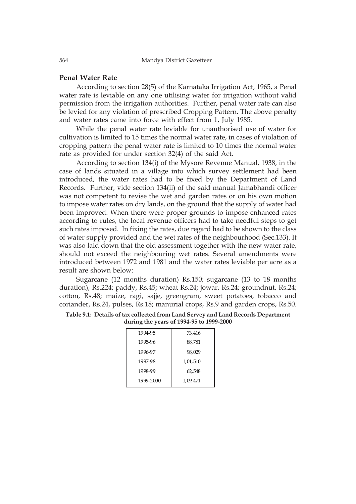### **Penal Water Rate**

According to section 28(5) of the Karnataka Irrigation Act, 1965, a Penal water rate is leviable on any one utilising water for irrigation without valid permission from the irrigation authorities. Further, penal water rate can also be levied for any violation of prescribed Cropping Pattern. The above penalty and water rates came into force with effect from 1, July 1985.

While the penal water rate leviable for unauthorised use of water for cultivation is limited to 15 times the normal water rate, in cases of violation of cropping pattern the penal water rate is limited to 10 times the normal water rate as provided for under section 32(4) of the said Act.

According to section 134(i) of the Mysore Revenue Manual, 1938, in the case of lands situated in a village into which survey settlement had been introduced, the water rates had to be fixed by the Department of Land Records. Further, vide section 134(ii) of the said manual Jamabhandi officer was not competent to revise the wet and garden rates or on his own motion to impose water rates on dry lands, on the ground that the supply of water had been improved. When there were proper grounds to impose enhanced rates according to rules, the local revenue officers had to take needful steps to get such rates imposed. In fixing the rates, due regard had to be shown to the class of water supply provided and the wet rates of the neighbourhood (Sec.133). It was also laid down that the old assessment together with the new water rate, should not exceed the neighbouring wet rates. Several amendments were introduced between 1972 and 1981 and the water rates leviable per acre as a result are shown below:

Sugarcane (12 months duration) Rs.150; sugarcane (13 to 18 months duration), Rs.224; paddy, Rs.45; wheat Rs.24; jowar, Rs.24; groundnut, Rs.24; cotton, Rs.48; maize, ragi, sajje, greengram, sweet potatoes, tobacco and coriander, Rs.24, pulses, Rs.18; manurial crops, Rs.9 and garden crops, Rs.50.

## **Table 9.1: Details of tax collected from Land Servey and Land Records Department during the years of 1994-95 to 1999-2000**

| 73,416   |
|----------|
| 88,781   |
| 98,029   |
| 1,01,510 |
| 62,548   |
| 1,09,471 |
|          |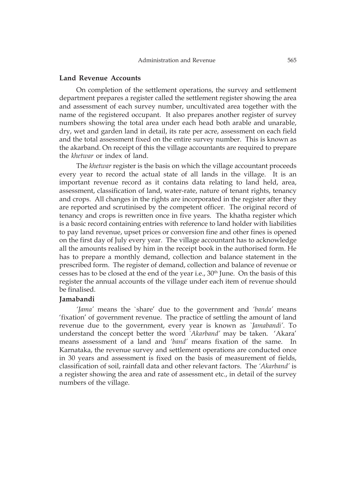### **Land Revenue Accounts**

On completion of the settlement operations, the survey and settlement department prepares a register called the settlement register showing the area and assessment of each survey number, uncultivated area together with the name of the registered occupant. It also prepares another register of survey numbers showing the total area under each head both arable and unarable, dry, wet and garden land in detail, its rate per acre, assessment on each field and the total assessment fixed on the entire survey number. This is known as the akarband. On receipt of this the village accountants are required to prepare the *khetwar* or index of land.

The *khetwar* register is the basis on which the village accountant proceeds every year to record the actual state of all lands in the village. It is an important revenue record as it contains data relating to land held, area, assessment, classification of land, water-rate, nature of tenant rights, tenancy and crops. All changes in the rights are incorporated in the register after they are reported and scrutinised by the competent officer. The original record of tenancy and crops is rewritten once in five years. The khatha register which is a basic record containing entries with reference to land holder with liabilities to pay land revenue, upset prices or conversion fine and other fines is opened on the first day of July every year. The village accountant has to acknowledge all the amounts realised by him in the receipt book in the authorised form. He has to prepare a monthly demand, collection and balance statement in the prescribed form. The register of demand, collection and balance of revenue or cesses has to be closed at the end of the year i.e.,  $30<sup>th</sup>$  June. On the basis of this register the annual accounts of the village under each item of revenue should be finalised.

#### **Jamabandi**

*'Jama'* means the `share' due to the government and *'banda'* means 'fixation' of government revenue. The practice of settling the amount of land revenue due to the government, every year is known as *`Jamabandi'.* To understand the concept better the word *`Akarband'* may be taken. 'Akara' means assessment of a land and *'band'* means fixation of the same. In Karnataka, the revenue survey and settlement operations are conducted once in 30 years and assessment is fixed on the basis of measurement of fields, classification of soil, rainfall data and other relevant factors. The *'Akarband'* is a register showing the area and rate of assessment etc., in detail of the survey numbers of the village.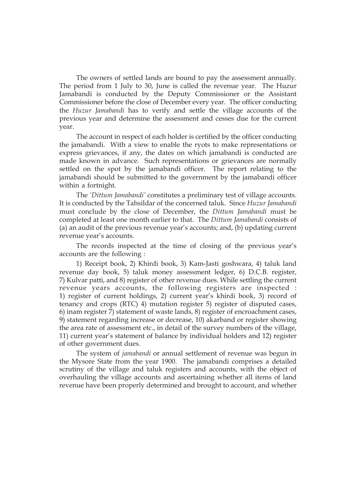The owners of settled lands are bound to pay the assessment annually. The period from 1 July to 30, June is called the revenue year. The Huzur Jamabandi is conducted by the Deputy Commissioner or the Assistant Commissioner before the close of December every year. The officer conducting the *Huzur Jamabandi* has to verify and settle the village accounts of the previous year and determine the assessment and cesses due for the current year.

The account in respect of each holder is certified by the officer conducting the jamabandi. With a view to enable the ryots to make representations or express grievances, if any, the dates on which jamabandi is conducted are made known in advance. Such representations or grievances are normally settled on the spot by the jamabandi officer. The report relating to the jamabandi should be submitted to the government by the jamabandi officer within a fortnight.

The *'Dittum Jamabandi'* constitutes a preliminary test of village accounts. It is conducted by the Tahsildar of the concerned taluk. Since *Huzur Jamabandi* must conclude by the close of December, the *Dittum Jamabandi* must be completed at least one month earlier to that. The *Dittum Jamabandi* consists of (a) an audit of the previous revenue year's accounts; and, (b) updating current revenue year's accounts.

The records inspected at the time of closing of the previous year's accounts are the following :

1) Receipt book, 2) Khirdi book, 3) Kam-Jasti goshwara, 4) taluk land revenue day book, 5) taluk money assessment ledger, 6) D.C.B. register, 7) Kulvar patti, and 8) register of other revenue dues. While settling the current revenue years accounts, the following registers are inspected : 1) register of current holdings, 2) current year's khirdi book, 3) record of tenancy and crops (RTC) 4) mutation register 5) register of disputed cases, 6) inam register 7) statement of waste lands, 8) register of encroachment cases, 9) statement regarding increase or decrease, 10) akarband or register showing the area rate of assessment etc., in detail of the survey numbers of the village, 11) current year's statement of balance by individual holders and 12) register of other government dues.

The system of *jamabandi* or annual settlement of revenue was begun in the Mysore State from the year 1900. The jamabandi comprises a detailed scrutiny of the village and taluk registers and accounts, with the object of overhauling the village accounts and ascertaining whether all items of land revenue have been properly determined and brought to account, and whether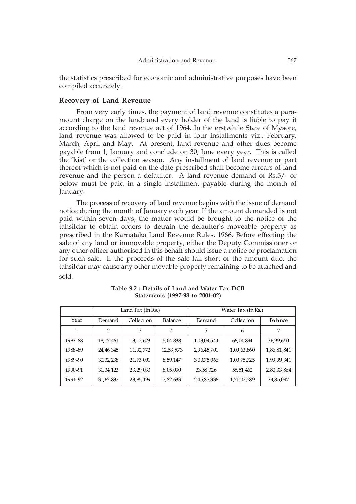the statistics prescribed for economic and administrative purposes have been compiled accurately.

#### **Recovery of Land Revenue**

From very early times, the payment of land revenue constitutes a paramount charge on the land; and every holder of the land is liable to pay it according to the land revenue act of 1964. In the erstwhile State of Mysore, land revenue was allowed to be paid in four installments viz., February, March, April and May. At present, land revenue and other dues become payable from 1, January and conclude on 30, June every year. This is called the 'kist' or the collection season. Any installment of land revenue or part thereof which is not paid on the date prescribed shall become arrears of land revenue and the person a defaulter. A land revenue demand of Rs.5/- or below must be paid in a single installment payable during the month of January.

The process of recovery of land revenue begins with the issue of demand notice during the month of January each year. If the amount demanded is not paid within seven days, the matter would be brought to the notice of the tahsildar to obtain orders to detrain the defaulter's moveable property as prescribed in the Karnataka Land Revenue Rules, 1966. Before effecting the sale of any land or immovable property, either the Deputy Commissioner or any other officer authorised in this behalf should issue a notice or proclamation for such sale. If the proceeds of the sale fall short of the amount due, the tahsildar may cause any other movable property remaining to be attached and sold.

|         |             | Land Tax (In Rs.) |           |             | Water Tax (In Rs.) |             |
|---------|-------------|-------------------|-----------|-------------|--------------------|-------------|
| Year    | Demand      | Collection        | Balance   | Demand      | Collection         | Balance     |
|         | 2           | 3                 | 4         | 5           | 6                  | 7           |
| 1987-88 | 18, 17, 461 | 13, 12, 623       | 5,04,838  | 1,03,04,544 | 66,04,894          | 36,99,650   |
| 1988-89 | 24, 46, 345 | 11,92,772         | 12,53,573 | 2,96,45,701 | 1,09,63,860        | 1,86,81,841 |
| 1989-90 | 30, 32, 238 | 21,73,091         | 8,59,147  | 3,00,75,066 | 1,00,75,725        | 1,99,99,341 |
| 1990-91 | 31, 34, 123 | 23, 29, 033       | 8,05,090  | 33,58,326   | 55, 51, 462        | 2,80,33,864 |
| 1991-92 | 31, 67, 832 | 23,85,199         | 7,82,633  | 2,45,87,336 | 1,71,02,289        | 74,85,047   |

**Table 9.2 : Details of Land and Water Tax DCB Statements (1997-98 to 2001-02)**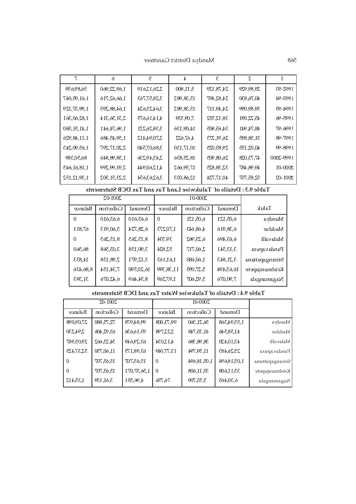568 Mandya District Gazetteer

| 7              | ĥ              | $\overline{c}$ | $\overline{4}$ | 3           | $\mathcal{L}_{\mathcal{L}}$ |             |
|----------------|----------------|----------------|----------------|-------------|-----------------------------|-------------|
| 56,89,659      | 1,69,22,960    | 2,26,12,619    | 5,11,800       | 24,78,129   | 29,89,929                   | 1992-93     |
| 1,61,95,047    | 1,66,62,716    | 3,28,57,763    | 15,38,982      | 24,82,497   | 40,76,830                   | 1993-94     |
| 1,99,37,329    | 1,64,88,295    | 3,64,25,624    | 15,38,982      | 24,49,117   | 39,89,099                   | 1994-95     |
| 1,82,60,361    | 2,31,56,314    | 4,14,16,675    | 7,09,539       | 38,12,552   | 45, 22, 091                 | 1995-96     |
| 1,41,51,580    | 1,96,74,641    | 3,38,26,221    | 14,09,136      | 34,65,805   | 48,74,941                   | 1996-97     |
| 1, 11, 48, 926 | 1,59,45,486    | 2,70,94,412    | 4,67,622       | 26, 91, 273 | 31,58,895                   | 1997-98     |
| 1,65,90,243    | 2,20,17,297    | 3,86,07,540    | 10,17,130      | 29,85,025   | 40,02,155                   | 1998-99     |
| 86,50,389      | 1,58,98,846    | 2,45,49,236    | 18,25,836      | 26,08,905   | 47,73,028                   | 1999-2000   |
| 1,18,61,645    | 2,93,99,299    | 4,12,60,944    | 17,59,662      | 32,38,825   | 49,98,487                   | $2000 - 01$ |
| 1,39,12,152    | 2, 23, 51, 502 | 3,62,63,654    | 12,68,033      | 40,17,724   | 52,85,757                   | $2001 - 02$ |

| 1,65,90,24     | 2,20,17,297                                                      | 3,86,07,540 |             | 10,17,130  | 29,85,025   | 40,02,155   | 66-8661         |  |
|----------------|------------------------------------------------------------------|-------------|-------------|------------|-------------|-------------|-----------------|--|
| 86,50,389      | 1,58,98,846                                                      | 2,45,49,236 |             | 18,25,836  | 26,08,905   | 47,73,028   | 1999-2000       |  |
| 1,18,61,64     | 2,93,99,299                                                      | 4,12,60,944 |             | 17,59,662  | 32, 38, 825 | 49, 98, 487 | 2000-01         |  |
| 1,39,12,15     | 2, 23, 51, 502                                                   | 3,62,63,654 |             | 12,68,033  | 40,17,724   | 52,85,757   | $2001 - 02$     |  |
|                | Table 9.3 : Details of Talukwise Land Tax and Tax DCB Statements |             |             |            |             |             |                 |  |
|                | 2001-02                                                          |             |             | 2000-01    |             |             |                 |  |
| Balanœ         | Collection                                                       | Demand      | Balance     | Collection | Demand      | Taluk       |                 |  |
| $\Omega$       | 6,63,610                                                         | 6,63,610    | $\theta$    | 6,05,121   | 6,05,121    |             | Mandya          |  |
| 67,811         | 5,60,913                                                         | 6,28,724    | 1,70,273    | 4,68,643   | 6,38,916    |             | Maddur          |  |
| $\overline{0}$ | 8,15,265                                                         | 8,15,265    | 39,534      | 6, 23, 962 | 6,63,496    |             | Malavalli       |  |
| 86,560         | 3,03,568                                                         | 3,90,158    | 52,824      | 2,60,717   | 3,13,541    |             | Pandavapura     |  |
| 14,833         | 2,98,138                                                         | 3,12,971    | 1,61,163    | 1,60,680   | 3,21,843    |             | Srirangapattana |  |
| 8,86,436       | 7,34,154                                                         | 16,20,590   | 11, 38, 399 | 5,27,095   | 16,65,494   |             | Krishnarajapete |  |
| 31,393         | 6,42,076                                                         | 8,54,469    | 1,97,269    | 5, 92, 607 | 7,90,076    |             | Nagamangala     |  |
|                | Table 9.4: Details of Talukwise Water Tax and DCB Statements     |             |             |            |             |             |                 |  |
|                | $2001 - 02$                                                      |             |             | 2000-01    |             |             |                 |  |
| Balance        | Collection                                                       | Demand      | Balance     | Collection | Demand      |             |                 |  |
| 27,09,098      | 72,75,880                                                        | 99,84,978   | 99,73,008   | 56,21,360  | 1,55,94,368 |             | Mandya          |  |

#### **Table 9.4 : Details of Talukwise Water Tax and DCB Statements**

|                 |             | 2000-01     |                | $2001 - 02$ |             |           |
|-----------------|-------------|-------------|----------------|-------------|-------------|-----------|
|                 | Demand      | Collection  | Balance        | Demand      | Collection  | Balance   |
| Mandya          | 1,55,94,368 | 56, 21, 360 | 99,73,008      | 99,84,978   | 72,75,880   | 27,09,098 |
| Maddur          | 41,58,546   | 41, 35, 748 | 2,22,798       | 93,16,636   | 63, 92, 406 | 2,94,230  |
| Malavalli       | 43,10,420   | 38, 98, 386 | 4,12,034       | 63,29,649   | 34, 23, 662 | 29,05,987 |
| Pandavapura     | 25,26,483   | 11,59,794   | 13,77,049      | 63,98,175   | 11,60,750   | 52,37,425 |
| Srirangapattana | 1,05,18,694 | 1,05,18,694 | $\overline{0}$ | 15,65,707   | 15,65,707   | $\Omega$  |
| Krishnarajapete | 35,11,608   | 35, 11, 608 | $\Omega$       | 1,56,57,071 | 15,65,707   | $\Omega$  |
| Nagamangala     | 6,30,465    | 5,53,709    | 76,756         | 4,96,551    | 3,61,139    | 1,35,412  |
|                 |             |             |                |             |             |           |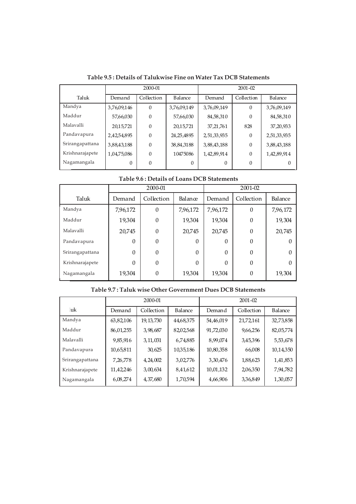|                 | 2000-01     |            |               | $2001 - 02$ |            |                |
|-----------------|-------------|------------|---------------|-------------|------------|----------------|
| Taluk           | Demand      | Collection | Balance       | Demand      | Collection | <b>Balance</b> |
| Mandya          | 3,76,09,146 | $\Omega$   | 3,76,09,149   | 3,76,09,149 | $\Omega$   | 3,76,09,149    |
| Maddur          | 57,66,030   | $\Omega$   | 57,66,030     | 84,58,310   | $\Omega$   | 84,58,310      |
| Malavalli       | 20,15,721   | $\Omega$   | 20,15,721     | 37, 21, 761 | 828        | 37, 20, 933    |
| Pandavapura     | 2,42,54,895 | $\Omega$   | 24, 25, 48 95 | 2,51,33,935 | $\Omega$   | 2,51,33,935    |
| Srirangapattana | 3,88,43,188 | $\Omega$   | 38,84,3188    | 3,88,43,188 | $\theta$   | 3,88,43,188    |
| Krishnarajapete | 1,04,75,086 | $\Omega$   | 10475086      | 1,42,89,914 | $\Omega$   | 1,42,89,914    |
| Nagamangala     | $\theta$    | $\Omega$   | 0             | $\Omega$    | $\Omega$   |                |

**Table 9.5 : Details of Talukwise Fine on Water Tax DCB Statements**

|  | Table 9.6 : Details of Loans DCB Statements |
|--|---------------------------------------------|
|--|---------------------------------------------|

|                 | 2000-01  |                |          | 2001-02  |            |          |
|-----------------|----------|----------------|----------|----------|------------|----------|
| Taluk           | Demand   | Collection     | Balance  | Demand   | Collection | Balance  |
| Mandya          | 7,96,172 | $\theta$       | 7,96,172 | 7,96,172 | 0          | 7,96,172 |
| Maddur          | 19,304   | $\theta$       | 19,304   | 19,304   | $\theta$   | 19,304   |
| Malavalli       | 20,745   | $\overline{0}$ | 20,745   | 20,745   | $\Omega$   | 20,745   |
| Pandavapura     | $\Omega$ | $\theta$       | $\Omega$ | $\Omega$ | $\Omega$   |          |
| Srirangapattana | $\Omega$ | $\theta$       | $\Omega$ | $\theta$ | 0          |          |
| Krishnarajapete | $\Omega$ | $\theta$       | $\theta$ | $\Omega$ | 0          |          |
| Nagamangala     | 19,304   | $\theta$       | 19,304   | 19,304   | 0          | 19,304   |

|                 | 2000-01    |             |                | $2001 - 02$ |            |           |
|-----------------|------------|-------------|----------------|-------------|------------|-----------|
| .uk             | Demand     | Collection  | <b>Balance</b> | Demand      | Collection | Balance   |
| Mandya          | 63,82,106  | 19, 13, 730 | 44,68,375      | 54,46,019   | 21,72,161  | 32,73,858 |
| Maddur          | 86,01,255  | 3,98,687    | 82,02,568      | 91,72,030   | 9,66,256   | 82,05,774 |
| Malavalli       | 9,85,916   | 3, 11, 031  | 6,74,885       | 8,99,074    | 3,45,396   | 5,53,678  |
| Pandavapura     | 10,65,811  | 30,625      | 10,35,186      | 10,80,358   | 66,008     | 10,14,350 |
| Srirangapattana | 7, 26, 778 | 4, 24, 002  | 3,02,776       | 3,30,476    | 1,88,623   | 1,41,853  |
| Krishnarajapete | 11,42,246  | 3,00,634    | 8,41,612       | 10,01,132   | 2,06,350   | 7,94,782  |
| Nagamangala     | 6,08,274   | 4,37,680    | 1,70,594       | 4,66,906    | 3,36,849   | 1,30,057  |

## **Table 9.7 : Taluk wise Other Government Dues DCB Statements**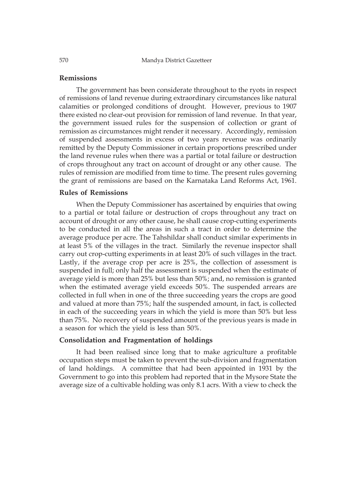570 Mandya District Gazetteer

### **Remissions**

The government has been considerate throughout to the ryots in respect of remissions of land revenue during extraordinary circumstances like natural calamities or prolonged conditions of drought. However, previous to 1907 there existed no clear-out provision for remission of land revenue. In that year, the government issued rules for the suspension of collection or grant of remission as circumstances might render it necessary. Accordingly, remission of suspended assessments in excess of two years revenue was ordinarily remitted by the Deputy Commissioner in certain proportions prescribed under the land revenue rules when there was a partial or total failure or destruction of crops throughout any tract on account of drought or any other cause. The rules of remission are modified from time to time. The present rules governing the grant of remissions are based on the Karnataka Land Reforms Act, 1961.

## **Rules of Remissions**

When the Deputy Commissioner has ascertained by enquiries that owing to a partial or total failure or destruction of crops throughout any tract on account of drought or any other cause, he shall cause crop-cutting experiments to be conducted in all the areas in such a tract in order to determine the average produce per acre. The Tahshildar shall conduct similar experiments in at least 5% of the villages in the tract. Similarly the revenue inspector shall carry out crop-cutting experiments in at least 20% of such villages in the tract. Lastly, if the average crop per acre is 25%, the collection of assessment is suspended in full; only half the assessment is suspended when the estimate of average yield is more than 25% but less than 50%; and, no remission is granted when the estimated average yield exceeds 50%. The suspended arrears are collected in full when in one of the three succeeding years the crops are good and valued at more than 75%; half the suspended amount, in fact, is collected in each of the succeeding years in which the yield is more than 50% but less than 75%. No recovery of suspended amount of the previous years is made in a season for which the yield is less than 50%.

#### **Consolidation and Fragmentation of holdings**

It had been realised since long that to make agriculture a profitable occupation steps must be taken to prevent the sub-division and fragmentation of land holdings. A committee that had been appointed in 1931 by the Government to go into this problem had reported that in the Mysore State the average size of a cultivable holding was only 8.1 acrs. With a view to check the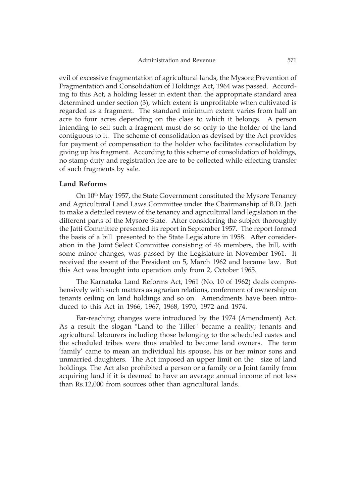evil of excessive fragmentation of agricultural lands, the Mysore Prevention of Fragmentation and Consolidation of Holdings Act, 1964 was passed. According to this Act, a holding lesser in extent than the appropriate standard area determined under section (3), which extent is unprofitable when cultivated is regarded as a fragment. The standard minimum extent varies from half an acre to four acres depending on the class to which it belongs. A person intending to sell such a fragment must do so only to the holder of the land contiguous to it. The scheme of consolidation as devised by the Act provides for payment of compensation to the holder who facilitates consolidation by giving up his fragment. According to this scheme of consolidation of holdings, no stamp duty and registration fee are to be collected while effecting transfer of such fragments by sale.

#### **Land Reforms**

On  $10<sup>th</sup>$  May 1957, the State Government constituted the Mysore Tenancy and Agricultural Land Laws Committee under the Chairmanship of B.D. Jatti to make a detailed review of the tenancy and agricultural land legislation in the different parts of the Mysore State. After considering the subject thoroughly the Jatti Committee presented its report in September 1957. The report formed the basis of a bill presented to the State Legislature in 1958. After consideration in the Joint Select Committee consisting of 46 members, the bill, with some minor changes, was passed by the Legislature in November 1961. It received the assent of the President on 5, March 1962 and became law. But this Act was brought into operation only from 2, October 1965.

The Karnataka Land Reforms Act, 1961 (No. 10 of 1962) deals comprehensively with such matters as agrarian relations, conferment of ownership on tenants ceiling on land holdings and so on. Amendments have been introduced to this Act in 1966, 1967, 1968, 1970, 1972 and 1974.

Far-reaching changes were introduced by the 1974 (Amendment) Act. As a result the slogan "Land to the Tiller" became a reality; tenants and agricultural labourers including those belonging to the scheduled castes and the scheduled tribes were thus enabled to become land owners. The term 'family' came to mean an individual his spouse, his or her minor sons and unmarried daughters. The Act imposed an upper limit on the size of land holdings. The Act also prohibited a person or a family or a Joint family from acquiring land if it is deemed to have an average annual income of not less than Rs.12,000 from sources other than agricultural lands.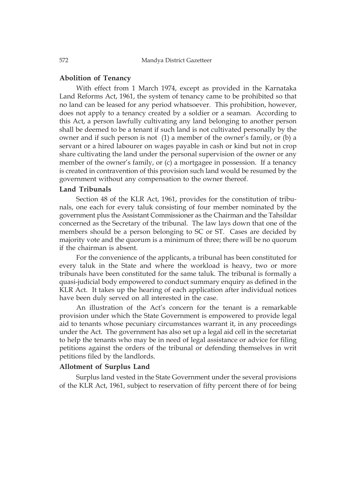### **Abolition of Tenancy**

With effect from 1 March 1974, except as provided in the Karnataka Land Reforms Act, 1961, the system of tenancy came to be prohibited so that no land can be leased for any period whatsoever. This prohibition, however, does not apply to a tenancy created by a soldier or a seaman. According to this Act, a person lawfully cultivating any land belonging to another person shall be deemed to be a tenant if such land is not cultivated personally by the owner and if such person is not (1) a member of the owner's family, or (b) a servant or a hired labourer on wages payable in cash or kind but not in crop share cultivating the land under the personal supervision of the owner or any member of the owner's family, or (c) a mortgagee in possession. If a tenancy is created in contravention of this provision such land would be resumed by the government without any compensation to the owner thereof.

### **Land Tribunals**

Section 48 of the KLR Act, 1961, provides for the constitution of tribunals, one each for every taluk consisting of four member nominated by the government plus the Assistant Commissioner as the Chairman and the Tahsildar concerned as the Secretary of the tribunal. The law lays down that one of the members should be a person belonging to SC or ST. Cases are decided by majority vote and the quorum is a minimum of three; there will be no quorum if the chairman is absent.

For the convenience of the applicants, a tribunal has been constituted for every taluk in the State and where the workload is heavy, two or more tribunals have been constituted for the same taluk. The tribunal is formally a quasi-judicial body empowered to conduct summary enquiry as defined in the KLR Act. It takes up the hearing of each application after individual notices have been duly served on all interested in the case.

An illustration of the Act's concern for the tenant is a remarkable provision under which the State Government is empowered to provide legal aid to tenants whose pecuniary circumstances warrant it, in any proceedings under the Act. The government has also set up a legal aid cell in the secretariat to help the tenants who may be in need of legal assistance or advice for filing petitions against the orders of the tribunal or defending themselves in writ petitions filed by the landlords.

### **Allotment of Surplus Land**

Surplus land vested in the State Government under the several provisions of the KLR Act, 1961, subject to reservation of fifty percent there of for being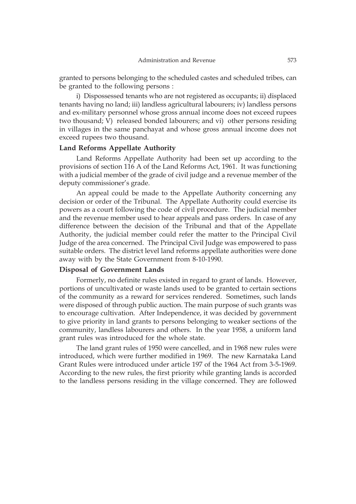granted to persons belonging to the scheduled castes and scheduled tribes, can be granted to the following persons :

i) Dispossessed tenants who are not registered as occupants; ii) displaced tenants having no land; iii) landless agricultural labourers; iv) landless persons and ex-military personnel whose gross annual income does not exceed rupees two thousand; V) released bonded labourers; and vi) other persons residing in villages in the same panchayat and whose gross annual income does not exceed rupees two thousand.

#### **Land Reforms Appellate Authority**

Land Reforms Appellate Authority had been set up according to the provisions of section 116 A of the Land Reforms Act, 1961. It was functioning with a judicial member of the grade of civil judge and a revenue member of the deputy commissioner's grade.

An appeal could be made to the Appellate Authority concerning any decision or order of the Tribunal. The Appellate Authority could exercise its powers as a court following the code of civil procedure. The judicial member and the revenue member used to hear appeals and pass orders. In case of any difference between the decision of the Tribunal and that of the Appellate Authority, the judicial member could refer the matter to the Principal Civil Judge of the area concerned. The Principal Civil Judge was empowered to pass suitable orders. The district level land reforms appellate authorities were done away with by the State Government from 8-10-1990.

#### **Disposal of Government Lands**

Formerly, no definite rules existed in regard to grant of lands. However, portions of uncultivated or waste lands used to be granted to certain sections of the community as a reward for services rendered. Sometimes, such lands were disposed of through public auction. The main purpose of such grants was to encourage cultivation. After Independence, it was decided by government to give priority in land grants to persons belonging to weaker sections of the community, landless labourers and others. In the year 1958, a uniform land grant rules was introduced for the whole state.

The land grant rules of 1950 were cancelled, and in 1968 new rules were introduced, which were further modified in 1969. The new Karnataka Land Grant Rules were introduced under article 197 of the 1964 Act from 3-5-1969. According to the new rules, the first priority while granting lands is accorded to the landless persons residing in the village concerned. They are followed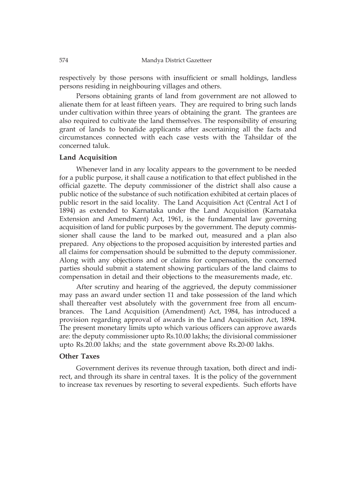respectively by those persons with insufficient or small holdings, landless persons residing in neighbouring villages and others.

Persons obtaining grants of land from government are not allowed to alienate them for at least fifteen years. They are required to bring such lands under cultivation within three years of obtaining the grant. The grantees are also required to cultivate the land themselves. The responsibility of ensuring grant of lands to bonafide applicants after ascertaining all the facts and circumstances connected with each case vests with the Tahsildar of the concerned taluk.

#### **Land Acquisition**

Whenever land in any locality appears to the government to be needed for a public purpose, it shall cause a notification to that effect published in the official gazette. The deputy commissioner of the district shall also cause a public notice of the substance of such notification exhibited at certain places of public resort in the said locality. The Land Acquisition Act (Central Act I of 1894) as extended to Karnataka under the Land Acquisition (Karnataka Extension and Amendment) Act, 1961, is the fundamental law governing acquisition of land for public purposes by the government. The deputy commissioner shall cause the land to be marked out, measured and a plan also prepared. Any objections to the proposed acquisition by interested parties and all claims for compensation should be submitted to the deputy commissioner. Along with any objections and or claims for compensation, the concerned parties should submit a statement showing particulars of the land claims to compensation in detail and their objections to the measurements made, etc.

After scrutiny and hearing of the aggrieved, the deputy commissioner may pass an award under section 11 and take possession of the land which shall thereafter vest absolutely with the government free from all encumbrances. The Land Acquisition (Amendment) Act, 1984, has introduced a provision regarding approval of awards in the Land Acquisition Act, 1894. The present monetary limits upto which various officers can approve awards are: the deputy commissioner upto Rs.10.00 lakhs; the divisional commissioner upto Rs.20.00 lakhs; and the state government above Rs.20-00 lakhs.

#### **Other Taxes**

Government derives its revenue through taxation, both direct and indirect, and through its share in central taxes. It is the policy of the government to increase tax revenues by resorting to several expedients. Such efforts have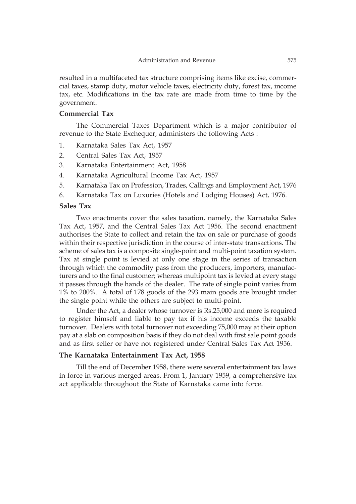resulted in a multifaceted tax structure comprising items like excise, commercial taxes, stamp duty, motor vehicle taxes, electricity duty, forest tax, income tax, etc. Modifications in the tax rate are made from time to time by the government.

#### **Commercial Tax**

The Commercial Taxes Department which is a major contributor of revenue to the State Exchequer, administers the following Acts :

- 1. Karnataka Sales Tax Act, 1957
- 2. Central Sales Tax Act, 1957
- 3. Karnataka Entertainment Act, 1958
- 4. Karnataka Agricultural Income Tax Act, 1957
- 5. Karnataka Tax on Profession, Trades, Callings and Employment Act, 1976
- 6. Karnataka Tax on Luxuries (Hotels and Lodging Houses) Act, 1976.

#### **Sales Tax**

Two enactments cover the sales taxation, namely, the Karnataka Sales Tax Act, 1957, and the Central Sales Tax Act 1956. The second enactment authorises the State to collect and retain the tax on sale or purchase of goods within their respective jurisdiction in the course of inter-state transactions. The scheme of sales tax is a composite single-point and multi-point taxation system. Tax at single point is levied at only one stage in the series of transaction through which the commodity pass from the producers, importers, manufacturers and to the final customer; whereas multipoint tax is levied at every stage it passes through the hands of the dealer. The rate of single point varies from 1% to 200%. A total of 178 goods of the 293 main goods are brought under the single point while the others are subject to multi-point.

Under the Act, a dealer whose turnover is Rs.25,000 and more is required to register himself and liable to pay tax if his income exceeds the taxable turnover. Dealers with total turnover not exceeding 75,000 may at their option pay at a slab on composition basis if they do not deal with first sale point goods and as first seller or have not registered under Central Sales Tax Act 1956.

#### **The Karnataka Entertainment Tax Act, 1958**

Till the end of December 1958, there were several entertainment tax laws in force in various merged areas. From 1, January 1959, a comprehensive tax act applicable throughout the State of Karnataka came into force.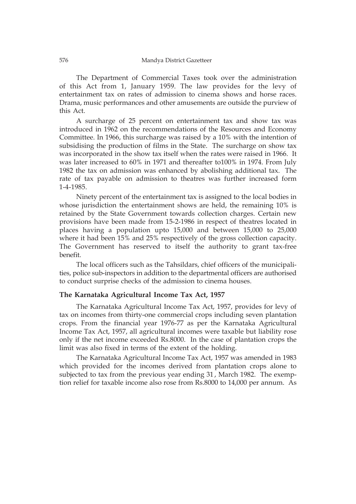The Department of Commercial Taxes took over the administration of this Act from 1, January 1959. The law provides for the levy of entertainment tax on rates of admission to cinema shows and horse races. Drama, music performances and other amusements are outside the purview of this Act.

A surcharge of 25 percent on entertainment tax and show tax was introduced in 1962 on the recommendations of the Resources and Economy Committee. In 1966, this surcharge was raised by a 10% with the intention of subsidising the production of films in the State. The surcharge on show tax was incorporated in the show tax itself when the rates were raised in 1966. It was later increased to 60% in 1971 and thereafter to100% in 1974. From July 1982 the tax on admission was enhanced by abolishing additional tax. The rate of tax payable on admission to theatres was further increased form 1-4-1985.

Ninety percent of the entertainment tax is assigned to the local bodies in whose jurisdiction the entertainment shows are held, the remaining 10% is retained by the State Government towards collection charges. Certain new provisions have been made from 15-2-1986 in respect of theatres located in places having a population upto 15,000 and between 15,000 to 25,000 where it had been 15% and 25% respectively of the gross collection capacity. The Government has reserved to itself the authority to grant tax-free benefit.

The local officers such as the Tahsildars, chief officers of the municipalities, police sub-inspectors in addition to the departmental officers are authorised to conduct surprise checks of the admission to cinema houses.

## **The Karnataka Agricultural Income Tax Act, 1957**

The Karnataka Agricultural Income Tax Act, 1957, provides for levy of tax on incomes from thirty-one commercial crops including seven plantation crops. From the financial year 1976-77 as per the Karnataka Agricultural Income Tax Act, 1957, all agricultural incomes were taxable but liability rose only if the net income exceeded Rs.8000. In the case of plantation crops the limit was also fixed in terms of the extent of the holding.

The Karnataka Agricultural Income Tax Act, 1957 was amended in 1983 which provided for the incomes derived from plantation crops alone to subjected to tax from the previous year ending 31, March 1982. The exemp-<br>tion which for taughts in agree also uses from Be 2000 to 14,000 nan annum. As tion relief for taxable income also rose from Rs.8000 to 14,000 per annum. As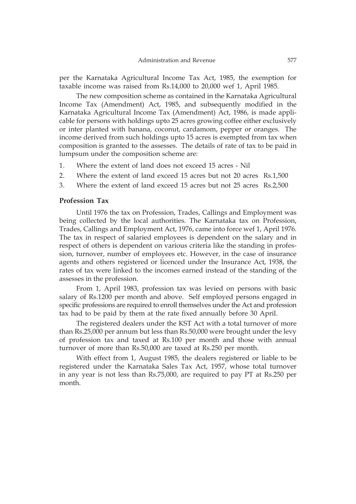per the Karnataka Agricultural Income Tax Act, 1985, the exemption for taxable income was raised from Rs.14,000 to 20,000 wef 1, April 1985.

The new composition scheme as contained in the Karnataka Agricultural Income Tax (Amendment) Act, 1985, and subsequently modified in the Karnataka Agricultural Income Tax (Amendment) Act, 1986, is made applicable for persons with holdings upto 25 acres growing coffee either exclusively or inter planted with banana, coconut, cardamom, pepper or oranges. The income derived from such holdings upto 15 acres is exempted from tax when composition is granted to the assesses. The details of rate of tax to be paid in lumpsum under the composition scheme are:

- 1. Where the extent of land does not exceed 15 acres Nil
- 2. Where the extent of land exceed 15 acres but not 20 acres Rs.1,500
- 3. Where the extent of land exceed 15 acres but not 25 acres Rs.2,500

### **Profession Tax**

Until 1976 the tax on Profession, Trades, Callings and Employment was being collected by the local authorities. The Karnataka tax on Profession, Trades, Callings and Employment Act, 1976, came into force wef 1, April 1976. The tax in respect of salaried employees is dependent on the salary and in respect of others is dependent on various criteria like the standing in profession, turnover, number of employees etc. However, in the case of insurance agents and others registered or licenced under the Insurance Act, 1938, the rates of tax were linked to the incomes earned instead of the standing of the assesses in the profession.

From 1, April 1983, profession tax was levied on persons with basic salary of Rs.1200 per month and above. Self employed persons engaged in specific professions are required to enroll themselves under the Act and profession tax had to be paid by them at the rate fixed annually before 30 April.

The registered dealers under the KST Act with a total turnover of more than Rs.25,000 per annum but less than Rs.50,000 were brought under the levy of profession tax and taxed at Rs.100 per month and those with annual turnover of more than Rs.50,000 are taxed at Rs.250 per month.

With effect from 1, August 1985, the dealers registered or liable to be registered under the Karnataka Sales Tax Act, 1957, whose total turnover in any year is not less than Rs.75,000, are required to pay PT at Rs.250 per month.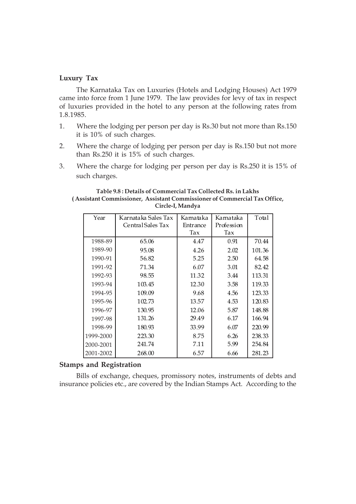# **Luxury Tax**

The Karnataka Tax on Luxuries (Hotels and Lodging Houses) Act 1979 came into force from 1 June 1979. The law provides for levy of tax in respect of luxuries provided in the hotel to any person at the following rates from 1.8.1985.

- 1. Where the lodging per person per day is Rs.30 but not more than Rs.150 it is 10% of such charges.
- 2. Where the charge of lodging per person per day is Rs.150 but not more than Rs.250 it is 15% of such charges.
- 3. Where the charge for lodging per person per day is Rs.250 it is 15% of such charges.

#### **Table 9.8 : Details of Commercial Tax Collected Rs. in Lakhs ( Assistant Commissioner, Assistant Commissioner of Commercial Tax Office, Circle-I, Mandya**

| Year      | Karnataka Sales Tax | Karnataka | Karnataka  | Total  |
|-----------|---------------------|-----------|------------|--------|
|           | Central Sales Tax   | Entrance  | Profession |        |
|           |                     | Tax       | Tax        |        |
| 1988-89   | 65.06               | 4.47      | 0.91       | 70.44  |
| 1989-90   | 95.08               | 4.26      | 2.02       | 101.36 |
| 1990-91   | 56.82               | 5.25      | 2.50       | 64.58  |
| 1991-92   | 71.34               | 6.07      | 3.01       | 82.42  |
| 1992-93   | 98.55               | 11.32     | 3.44       | 113.31 |
| 1993-94   | 103.45              | 12.30     | 3.58       | 119.33 |
| 1994-95   | 109.09              | 9.68      | 4.56       | 123.33 |
| 1995-96   | 102.73              | 13.57     | 4.53       | 120.83 |
| 1996-97   | 130.95              | 12.06     | 5.87       | 148.88 |
| 1997-98   | 131.26              | 29.49     | 6.17       | 166.94 |
| 1998-99   | 180.93              | 33.99     | 6.07       | 220.99 |
| 1999-2000 | 223.30              | 8.75      | 6.26       | 238.33 |
| 2000-2001 | 241.74              | 7.11      | 5.99       | 254.84 |
| 2001-2002 | 268.00              | 6.57      | 6.66       | 281.23 |

### **Stamps and Registration**

Bills of exchange, cheques, promissory notes, instruments of debts and insurance policies etc., are covered by the Indian Stamps Act. According to the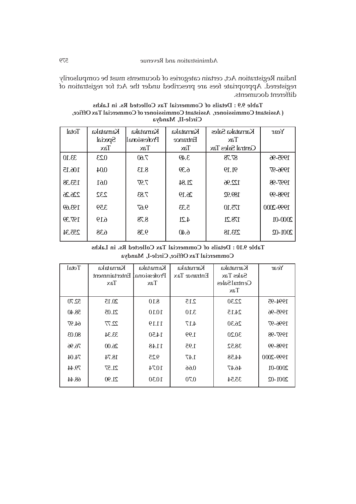Indian Registration Act, certain categories of documents must be compulsorily registered. Appropriate fees are prescribed under the Act for registration of different documents.

**Table 9.9 : Details of Commercial Tax Collected Rs. in Lakhs ( Assistant Commissioner, Assistant Commissioner of Commercial Tax Office, Circle-II, Mandya**

| Total  | Kamataka     | Karnataka    | Karnataka       | Karnataka Sales   | Year        |
|--------|--------------|--------------|-----------------|-------------------|-------------|
|        | Special      | Professional | Entrance        | Tax               |             |
|        | $\text{Tax}$ | Tax          | T <sub>ax</sub> | Central Sales Tax |             |
| 33.10  | 0.23         | 7.60         | 3.49            | 87.78             | 1995-96     |
| 106.15 | 0.04         | 8.13         | 6.39            | 91.19             | 1996-97     |
| 153.38 | 0.61         | 7.97         | 21.84           | 122.96            | 1997-98     |
| 226.26 | 232          | 7.83         | 26.19           | 189.92            | 1998-99     |
| 193.69 | 3.59         | 9.67         | 5.33            | 175.10            | 1999-2000   |
| 197.39 | 6.19         | 8.78         | 4.21            | 178.21            | $2000 - 01$ |
| 255.34 | 6.38         | 9.38         | 6.40            | 233.18            | $2001 - 02$ |

**Table 9.10 : Details of Commercial Tax Collected Rs. in Lakhs Commercial Tax Office, Circle-I, Mandya**

| Total | Karnataka<br>Entertainment<br>$\text{Tax}$ | Kamataka<br>Professional<br>Tax | Karnataka<br>Entrance Tax | Karnataka<br>Sales Tax<br>Central Sales<br>Tax | Year        |
|-------|--------------------------------------------|---------------------------------|---------------------------|------------------------------------------------|-------------|
| 52.70 | 20.15                                      | 8.10                            | 2.15                      | 22.30                                          | 1994-95     |
| 58.40 | 21.05                                      | 10.10                           | 3.10                      | 24.15                                          | 1995-96     |
| 64.97 | 22.77                                      | 11.19                           | 4.17                      | 26.30                                          | 1996-97     |
| 80.03 | 33.34                                      | 14.50                           | 1.99                      | 30.20                                          | 1997-98     |
| 76.96 | 26.00                                      | 11.48                           | 1.95                      | 38.52                                          | 1998-99     |
| 74.04 | 18.74                                      | 9.25                            | 1.47                      | 44.58                                          | 1999-2000   |
| 79.44 | 21.57                                      | 10.74                           | 0.66                      | 46.47                                          | 2000-01     |
| 68.44 | 21.90                                      | 10.30                           | 0.70                      | 35.54                                          | $2001 - 02$ |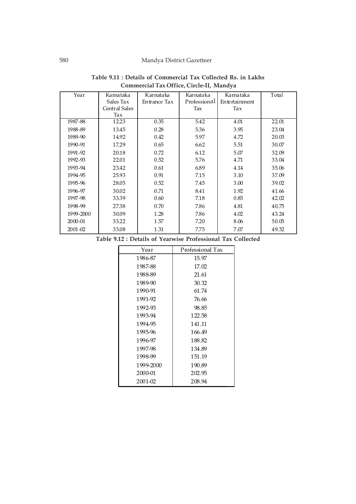| Year        | Karnataka<br>Sales Tax | Karnataka<br>Entrance Tax | Karnataka<br>Professional | Karnataka<br>Entertainment | Total |
|-------------|------------------------|---------------------------|---------------------------|----------------------------|-------|
|             | <b>Central Sales</b>   |                           | Tax                       | Tax                        |       |
|             | Tax                    |                           |                           |                            |       |
| 1987-88     | 12.23                  | 0.35                      | 5.42                      | 4.01                       | 22.01 |
| 1988-89     | 13.45                  | 0.28                      | 5.36                      | 3.95                       | 23.04 |
| 1989-90     | 14.92                  | 0.42                      | 5.97                      | 4.72                       | 20.03 |
| 1990-91     | 17.29                  | 0.65                      | 6.62                      | 5.51                       | 30.07 |
| 1991-92     | 20.18                  | 0.72                      | 6.12                      | 5.07                       | 32.09 |
| 1992-93     | 22.01                  | 0.52                      | 5.76                      | 4.71                       | 33.04 |
| 1993-94     | 23.42                  | 0.61                      | 6.89                      | 4.14                       | 35.06 |
| 1994-95     | 25.93                  | 0.91                      | 7.15                      | 3.10                       | 37.09 |
| 1995-96     | 28.05                  | 0.52                      | 7.45                      | 3.00                       | 39.02 |
| 1996-97     | 30.02                  | 0.71                      | 8.41                      | 1.92                       | 41.66 |
| 1997-98     | 33.39                  | 0.60                      | 7.18                      | 0.85                       | 42.02 |
| 1998-99     | 27.38                  | 0.70                      | 7.86                      | 4.81                       | 40.75 |
| 1999-2000   | 30.09                  | 1.28                      | 7.86                      | 4.02                       | 43.24 |
| 2000-01     | 33.22                  | 1.57                      | 7.20                      | 8.06                       | 50.05 |
| $2001 - 02$ | 33.08                  | 1.31                      | 7.75                      | 7.07                       | 49.32 |

| Table 9.11 : Details of Commercial Tax Collected Rs. in Lakhs |  |
|---------------------------------------------------------------|--|
| Commercial Tax Office, Circle-II, Mandya                      |  |

**Table 9.12 : Details of Yearwise Professional Tax Collected**

| Year      | Professional Tax |
|-----------|------------------|
| 1986-87   | 15.97            |
| 1987-88   | 17.02            |
| 1988-89   | 21.61            |
| 1989-90   | 30.32            |
| 1990-91   | 61.74            |
| 1991-92   | 76.66            |
| 1992-93   | 98.85            |
| 1993-94   | 122.58           |
| 1994-95   | 141.11           |
| 1995-96   | 166.49           |
| 1996-97   | 188.82           |
| 1997-98   | 134.89           |
| 1998-99   | 151.19           |
| 1999-2000 | 190.89           |
| 2000-01   | 202.95           |
| 2001-02   | 208.94           |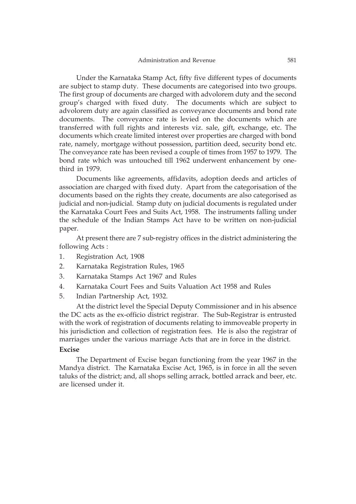Under the Karnataka Stamp Act, fifty five different types of documents are subject to stamp duty. These documents are categorised into two groups. The first group of documents are charged with advolorem duty and the second group's charged with fixed duty. The documents which are subject to advolorem duty are again classified as conveyance documents and bond rate documents. The conveyance rate is levied on the documents which are transferred with full rights and interests viz. sale, gift, exchange, etc. The documents which create limited interest over properties are charged with bond rate, namely, mortgage without possession, partition deed, security bond etc. The conveyance rate has been revised a couple of times from 1957 to 1979. The bond rate which was untouched till 1962 underwent enhancement by onethird in 1979.

Documents like agreements, affidavits, adoption deeds and articles of association are charged with fixed duty. Apart from the categorisation of the documents based on the rights they create, documents are also categorised as judicial and non-judicial. Stamp duty on judicial documents is regulated under the Karnataka Court Fees and Suits Act, 1958. The instruments falling under the schedule of the Indian Stamps Act have to be written on non-judicial paper.

At present there are 7 sub-registry offices in the district administering the following Acts :

- 1. Registration Act, 1908
- 2. Karnataka Registration Rules, 1965
- 3. Karnataka Stamps Act 1967 and Rules
- 4. Karnataka Court Fees and Suits Valuation Act 1958 and Rules
- 5. Indian Partnership Act, 1932.

At the district level the Special Deputy Commissioner and in his absence the DC acts as the ex-officio district registrar. The Sub-Registrar is entrusted with the work of registration of documents relating to immoveable property in his jurisdiction and collection of registration fees. He is also the registrar of marriages under the various marriage Acts that are in force in the district.

### **Excise**

The Department of Excise began functioning from the year 1967 in the Mandya district. The Karnataka Excise Act, 1965, is in force in all the seven taluks of the district; and, all shops selling arrack, bottled arrack and beer, etc. are licensed under it.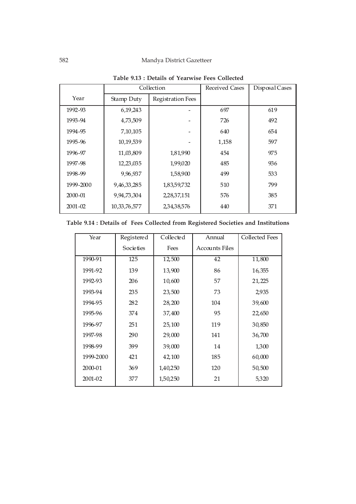# 582 Mandya District Gazetteer

|             |                 | Table 7.10 . Details of Tearwise Tees Confected |                |                |
|-------------|-----------------|-------------------------------------------------|----------------|----------------|
|             |                 | Collection                                      | Received Cases | Disposal Cases |
| Year        | Stamp Duty      | <b>Registration Fees</b>                        |                |                |
| 1992-93     | 6, 19, 243      |                                                 | 697            | 619            |
| 1993-94     | 4,73,509        |                                                 | 726            | 492            |
| 1994-95     | 7,10,105        |                                                 | 640            | 654            |
| 1995-96     | 10,19,539       |                                                 | 1,158          | 597            |
| 1996-97     | 11,03,809       | 1,81,990                                        | 454            | 975            |
| 1997-98     | 12,23,035       | 1,99,020                                        | 485            | 936            |
| 1998-99     | 9,96,937        | 1,58,900                                        | 499            | 533            |
| 1999-2000   | 9,46,33,285     | 1,83,59,732                                     | 510            | 799            |
| $2000 - 01$ | 9,94,73,304     | 2,28,37,151                                     | 576            | 385            |
| $2001 - 02$ | 10, 33, 76, 577 | 2,34,38,576                                     | 440            | 371            |

**Table 9.13 : Details of Yearwise Fees Collected**

| Table 9.14 : Details of Fees Collected from Registered Societies and Institutions |  |  |  |  |
|-----------------------------------------------------------------------------------|--|--|--|--|
|                                                                                   |  |  |  |  |

| Year      | Registered | Collected | Annual                | Collected Fees |
|-----------|------------|-----------|-----------------------|----------------|
|           | Societies  | Fees      | <b>Accounts Files</b> |                |
| 1990-91   | 125        | 12,500    | 42                    | 11,800         |
| 1991-92   | 139        | 13,900    | 86                    | 16,355         |
| 1992-93   | 206        | 10,600    | 57                    | 21,225         |
| 1993-94   | 235        | 23,500    | 73                    | 2,935          |
| 1994-95   | 282        | 28,200    | 104                   | 39,600         |
| 1995-96   | 374        | 37,400    | 95                    | 22,650         |
| 1996-97   | 251        | 25,100    | 119                   | 30,850         |
| 1997-98   | 290        | 29,000    | 141                   | 36,700         |
| 1998-99   | 399        | 39,000    | 14                    | 1,300          |
| 1999-2000 | 421        | 42,100    | 185                   | 60,000         |
| 2000-01   | 369        | 1,40,250  | 120                   | 50,500         |
| 2001-02   | 377        | 1,50,250  | 21                    | 5,320          |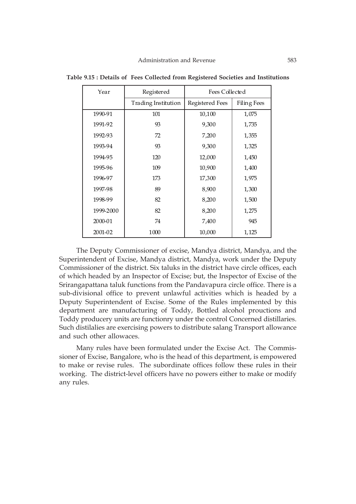| Year      | Registered          | Fees Collected  |                    |
|-----------|---------------------|-----------------|--------------------|
|           | Trading Institution | Registered Fees | <b>Filing Fees</b> |
| 1990-91   | 101                 | 10,100          | 1,075              |
| 1991-92   | 93                  | 9,300           | 1,735              |
| 1992-93   | 72                  | 7,200           | 1,355              |
| 1993-94   | 93                  | 9,300           | 1,325              |
| 1994-95   | 120                 | 12,000          | 1,450              |
| 1995-96   | 109                 | 10,900          | 1,400              |
| 1996-97   | 173                 | 17,300          | 1,975              |
| 1997-98   | 89                  | 8,900           | 1,300              |
| 1998-99   | 82                  | 8,200           | 1,500              |
| 1999-2000 | 82                  | 8,200           | 1,275              |
| 2000-01   | 74                  | 7,400           | 945                |
| 2001-02   | 1000                | 10,000          | 1,125              |

**Table 9.15 : Details of Fees Collected from Registered Societies and Institutions**

The Deputy Commissioner of excise, Mandya district, Mandya, and the Superintendent of Excise, Mandya district, Mandya, work under the Deputy Commissioner of the district. Six taluks in the district have circle offices, each of which headed by an Inspector of Excise; but, the Inspector of Excise of the Srirangapattana taluk functions from the Pandavapura circle office. There is a sub-divisional office to prevent unlawful activities which is headed by a Deputy Superintendent of Excise. Some of the Rules implemented by this department are manufacturing of Toddy, Bottled alcohol prouctions and Toddy producery units are functionry under the control Concerned distillaries. Such distilalies are exercising powers to distribute salang Transport allowance and such other allowaces.

Many rules have been formulated under the Excise Act. The Commissioner of Excise, Bangalore, who is the head of this department, is empowered to make or revise rules. The subordinate offices follow these rules in their working. The district-level officers have no powers either to make or modify any rules.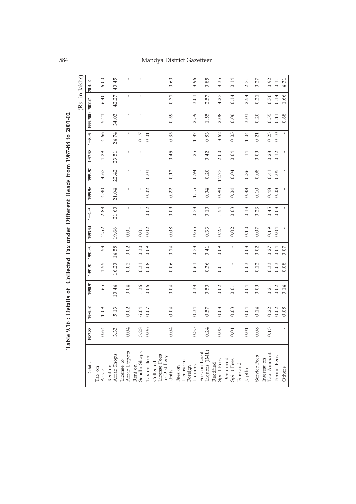# 584 Mandya District Gazetteer

|                                                     |          |         |         |         |          |              |         |                     |         |              |              |                   | (Rs. in lakhs) |           |
|-----------------------------------------------------|----------|---------|---------|---------|----------|--------------|---------|---------------------|---------|--------------|--------------|-------------------|----------------|-----------|
| Details                                             | 1987-88  | 1989-90 | 1990-91 | 1991-92 | 1992-93  | 1993-94      | 1994-95 | 1995-96             | 1996-97 | 1997-98      | 1998-99      | 1999-2000 2000-01 |                | 2001-02   |
| $\operatorname{{\mathtt{T}ax}}$ on<br>Arrac         | 0.64     | 1.09    | 1.65    | 1.55    | 1.53     | 2.52         | 2.88    | 4.80                | 4.67    | 4.29         | 4.66         | 5.21              | 6.40           | 6.00      |
| Arrac Shops<br>Rent on                              | 3.33     | 5.13    | 10.44   | 16.20   | 14.58    | 19.68        | 21.60   | 21.04               | 22.42   | 23.51        | 24.74        | 34.03             | 42.27          | 40.45     |
| Arrac Depots<br>License to                          | 0.04     | 0.02    | 0.04    | 0.02    | 0.02     | 0.01         | ĭ.      | ĭ.                  |         | ĭ.           |              | $\mathbf{r}$      | f.             | Ĭ.        |
| Sendhi Shops<br>Rent on                             | 3.28     | 6.04    | 1.36    | 0.31    | 0.30     | 0.01         | f,      | ï                   |         | ĭ.           | 0.17         | f.                | $\mathbf{r}$   |           |
| Tax on Beer                                         | 0.06     | $0.07$  | 0.06    | 0.08    | 0.09     | 0.02         | 0.02    | 0.02                | 0.01    | $\mathbf{I}$ | 0.01         | $\mathbf{I}$      | $\mathbf{I}$   | $\bar{1}$ |
| License Fees<br>to Distillery<br>Collected<br>Units | 0.04     | 0.04    | 0.04    | 0.06    | 0.14     | 0.08         | 0.09    | 0.22                | 0.12    | 0.45         | 0.35         | 0.59              | 0.71           | 0.60      |
| License to<br>Fees on                               |          |         |         |         |          |              |         |                     |         |              |              |                   |                |           |
| Liquors<br>Foreign                                  | 0.35     | 0.34    | 0.38    | 0.61    | 0.73     | 0.65         | 0.73    | 1.15                | 0.94    | 1.25         | 1.87         | 2.59              | 3.01           | 3.96      |
| Liquors (IML)<br>Fees on Local                      | 0.24     | 0.57    | 0.50    | 0.36    | 0.41     | 0.33         | 0.10    | 0.04                | 0.20    | 0.42         | 0.83         | 1.55              | 2.57           | 0.85      |
| Spirit Fees<br>Rectified                            | 0.03     | 0.03    | 0.02    | 0.01    | 0.09     | 0.25         | 1.54    | 10.90               | 12.77   | 2.00         | 3.62         | 2.08              | 4.27           | 8.35      |
| Denatured<br>Spirit Fees                            | $0.01\,$ | 0.03    | 0.01    |         | ı        | 0.02         | 0.03    | 0.04                | 0.04    | 0.04         | 0.05         | 0.06              | 0.14           | 0.14      |
| Fine and                                            |          |         |         |         |          |              |         |                     |         |              |              |                   |                |           |
| Japthi                                              | 0.01     | 0.04    | 0.04    | 0.03    | 0.03     | 0.10         | 0.13    | 0.88                | 0.86    | 1.14         | 1.04         | 3.01              | 2.54           | 2.71      |
| Service Fees                                        | 0.08     | 0.14    | 0.09    | 0.12    | 0.02     | $0.07$       | 0.23    | 0.10                | 0.08    | 0.09         | 0.21         | 0.20              | 0.21           | 0.27      |
| Tax Amount<br>Interest on                           | 0.13     | 0.22    | 0.21    | 0.33    | 0.27     | 0.19         | 0.45    | 0.48                | 0.41    | 0.28         | 0.23         | 0.55              | 0.70           | 0.92      |
| Permit Fees                                         |          | 0.02    | 0.02    | 0.03    | 0.04     | 0.04         | 0.03    | 0.03                | 0.05    | 0.12         | 0.10         | 0.11              | 0.14           | 0.11      |
| Others                                              |          | 0.08    | 0.14    | 0.08    | $0.07\,$ | $\mathbf{I}$ |         | $\bar{\phantom{a}}$ |         | $\mathbf{I}$ | $\mathbf{I}$ | 0.68              | 1.66           | 4.31      |

Table 9.16 : Details of Collected Tax under Different Heads from 1987-88 to 2001-02 **Table 9.16 : Details of Collected Tax under Different Heads from 1987-88 to 2001-02**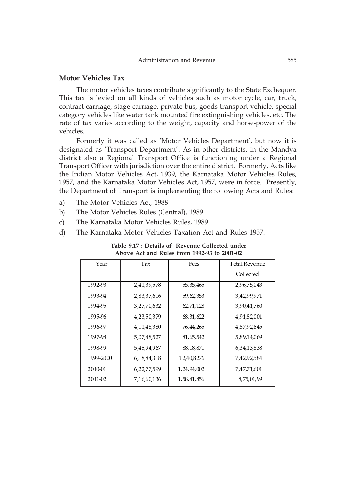## **Motor Vehicles Tax**

The motor vehicles taxes contribute significantly to the State Exchequer. This tax is levied on all kinds of vehicles such as motor cycle, car, truck, contract carriage, stage carriage, private bus, goods transport vehicle, special category vehicles like water tank mounted fire extinguishing vehicles, etc. The rate of tax varies according to the weight, capacity and horse-power of the vehicles.

Formerly it was called as 'Motor Vehicles Department', but now it is designated as 'Transport Department'. As in other districts, in the Mandya district also a Regional Transport Office is functioning under a Regional Transport Officer with jurisdiction over the entire district. Formerly, Acts like the Indian Motor Vehicles Act, 1939, the Karnataka Motor Vehicles Rules, 1957, and the Karnataka Motor Vehicles Act, 1957, were in force. Presently, the Department of Transport is implementing the following Acts and Rules:

- a) The Motor Vehicles Act, 1988
- b) The Motor Vehicles Rules (Central), 1989
- c) The Karnataka Motor Vehicles Rules, 1989
- d) The Karnataka Motor Vehicles Taxation Act and Rules 1957.

| Year      | Tax         | Fees           | <b>Total Revenue</b> |
|-----------|-------------|----------------|----------------------|
|           |             |                | Collected            |
| 1992-93   | 2,41,39,578 | 55, 35, 465    | 2,96,75,043          |
| 1993-94   | 2,83,37,616 | 59,62,353      | 3,42,99,971          |
| 1994-95   | 3,27,70,632 | 62,71,128      | 3,90,41,760          |
| 1995-96   | 4,23,50,379 | 68, 31, 622    | 4,91,82,001          |
| 1996-97   | 4,11,48,380 | 76, 44, 265    | 4,87,92,645          |
| 1997-98   | 5,07,48,527 | 81, 65, 542    | 5,89,14,069          |
| 1998-99   | 5,45,94,967 | 88, 18, 871    | 6,34,13,838          |
| 1999-2000 | 6,18,84,318 | 12,40,8276     | 7,42,92,584          |
| 2000-01   | 6,22,77,599 | 1, 24, 94, 002 | 7,47,71,601          |
| 2001-02   | 7,16,60,136 | 1,58,41,856    | 8,75,01,99           |

**Table 9.17 : Details of Revenue Collected under Above Act and Rules from 1992-93 to 2001-02**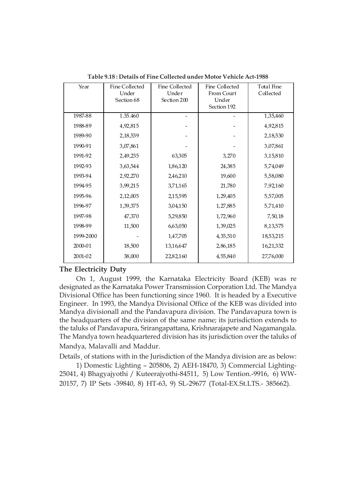| Year      | Fine Collected | Fine Collected | Fine Collected | <b>Total Fine</b> |
|-----------|----------------|----------------|----------------|-------------------|
|           | Under          | Under          | From Court     | Collected         |
|           | Section 68     | Section 200    | Under          |                   |
|           |                |                | Section 192    |                   |
| 1987-88   | 1.35.460       |                |                | 1,35,460          |
| 1988-89   | 4,92,815       |                |                | 4,92,815          |
| 1989-90   | 2, 18, 539     |                |                | 2,18,530          |
| 1990-91   | 3,07,861       |                |                | 3,07,861          |
| 1991-92   | 2,49,235       | 63,305         | 3,270          | 3,15,810          |
| 1992-93   | 3,63,544       | 1,86,120       | 24,385         | 5,74,049          |
| 1993-94   | 2,92,270       | 2,46,210       | 19,600         | 5,58,080          |
| 1994-95   | 3,99,215       | 3,71,165       | 21,780         | 7,92,160          |
| 1995-96   | 2,12,005       | 2,15,595       | 1,29,405       | 5,57,005          |
| 1996-97   | 1,39,375       | 3,04,150       | 1,27,885       | 5,71,410          |
| 1997-98   | 47,370         | 5,29,850       | 1,72,960       | 7,50,18           |
| 1998-99   | 11,500         | 6,63,050       | 1,39,025       | 8,13,575          |
| 1999-2000 |                | 1,47,705       | 4, 35, 510     | 18,53,215         |
| 2000-01   | 18,500         | 13,16,647      | 2,86,185       | 16,21,332         |
| 2001-02   | 38,000         | 22,82,160      | 4,55,840       | 27,76,000         |

**Table 9.18 : Details of Fine Collected under Motor Vehicle Act-1988**

# **The Electricity Duty**

On 1, August 1999, the Karnataka Electricity Board (KEB) was re designated as the Karnataka Power Transmission Corporation Ltd. The Mandya Divisional Office has been functioning since 1960. It is headed by a Executive Engineer. In 1993, the Mandya Divisional Office of the KEB was divided into Mandya divisionall and the Pandavapura division. The Pandavapura town is the headquarters of the division of the same name; its jurisdiction extends to the taluks of Pandavapura, Srirangapattana, Krishnarajapete and Nagamangala. The Mandya town headquartered division has its jurisdiction over the taluks of Mandya, Malavalli and Maddur.

Details¸ of stations with in the Jurisdiction of the Mandya division are as below: 1) Domestic Lighting – 205806, 2) AEH-18470, 3) Commercial Lighting-25041, 4) Bhagyajyothi / Kuteerajyothi-84511, 5) Low Tention.-9916, 6) WW-

20157, 7) IP Sets -39840, 8) HT-63, 9) SL-29677 (Total-EX.St.LTS.- 385662).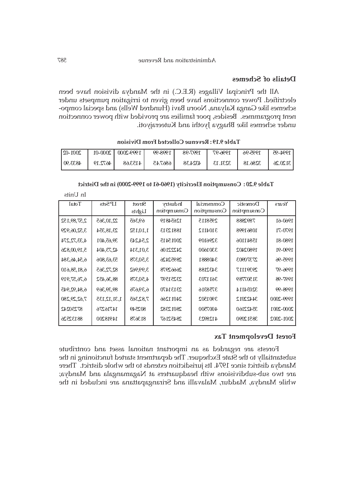## **Details of Schemes**

All the Principal Villages (R.E.C.) in the Mandya division have been electrified. Power connections have been given to irrigation pumpsets under schemes like Ganga Kalyana, Nooru Bavi (Hundred Wells) and special component programmes. Besides, poor families are provided with power connection under schemes like Bhagya Jyothi and Kuteerajyoti.

| $2001 - 02$ |         | $\mid$ 1999-2000 $\mid$ 2000-01 | 1998-99 | 1997-98 | 1996-97 | 1995-96 | $1994 - 95$ |
|-------------|---------|---------------------------------|---------|---------|---------|---------|-------------|
| 4833.90     | 4672.19 | 4153.68                         | 6867.45 | 4324.38 | 3231.13 | 3286.18 | 3120.26     |

 **Table 9.19 : Revenue Collected From Division**

| Total          | I.P Sets       | Street<br>Lights | Industry<br>Consumption | Commercial<br>Consumption | Domestic<br>Consumption | Years     |
|----------------|----------------|------------------|-------------------------|---------------------------|-------------------------|-----------|
| 2,57,89,152    | 22,10,365      | 69,365           | 12654819                | 2958115                   | 7892888                 | 1960-61   |
| 3,52,06,929    | 23,18,354      | 1,10,152         | 18812313                | 3104112                   | 10861998                | 1970-71   |
| 4, 33, 72, 274 | 39,65,401      | 2,54,243         | 20015415                | 3296109                   | 15841106                | 1980-81   |
| 5,19,00,826    | 42,73,404      | 3,01,314         | 24222106                | 3301600                   | 19802402                | 1990-91   |
| 6,54,46,384    | 53,63,806      | 3,50,378         | 28952426                | 3408881                   | 27370903                | 1995-96   |
| 6,81,58,610    | 82,72,365      | 3,99,962         | 26662978                | 3432188                   | 29391117                | 1996-97   |
| 6,76,57,919    | 88,36,452      | 4,50,378         | 23251597                | 3611703                   | 31507789                | 1997-98   |
| 6,84,92,945    | 89,39,369      | 6,39,676         | 23131470                | 3758316                   | 32034114                | 1998-99   |
| 7,62,29,280    | 1, 31, 12, 135 | 7,82,365         | 24011266                | 3901502                   | 34422012                | 1999-2000 |
| 87230242       | 14716276       | 802549           | 28012382                | 4007500                   | 35422160                | 2000-2001 |
| 88132526       | 14918200       | 813678           | 28452167                | 4128923                   | 38512090                | 2001-2002 |

 **Table 9.20 : Consumption Elecricity (1960-61 to 1999-2000) in the District**

In Units

#### **Forest Development Tax**

Forests are regarded as an important national asset and contribute substantially to the State Exchequer. The department started functioning in the Mandya district since 1974. Its jurisdiction extends to the whole district. There are two sub-subdivisions with headquarters at Nagamangala and Mandya; while Mandya, Maddur, Malavalli and Srirangapattana are included in the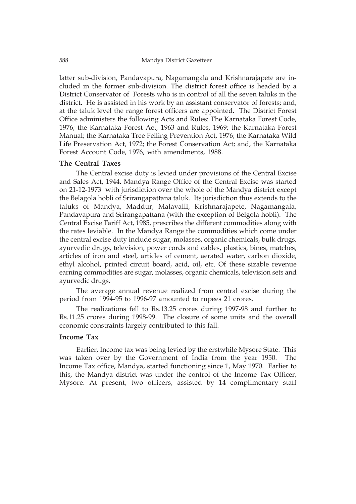latter sub-division, Pandavapura, Nagamangala and Krishnarajapete are included in the former sub-division. The district forest office is headed by a District Conservator of Forests who is in control of all the seven taluks in the district. He is assisted in his work by an assistant conservator of forests; and, at the taluk level the range forest officers are appointed. The District Forest Office administers the following Acts and Rules: The Karnataka Forest Code, 1976; the Karnataka Forest Act, 1963 and Rules, 1969; the Karnataka Forest Manual; the Karnataka Tree Felling Prevention Act, 1976; the Karnataka Wild Life Preservation Act, 1972; the Forest Conservation Act; and, the Karnataka Forest Account Code, 1976, with amendments, 1988.

#### **The Central Taxes**

The Central excise duty is levied under provisions of the Central Excise and Sales Act, 1944. Mandya Range Office of the Central Excise was started on 21-12-1973 with jurisdiction over the whole of the Mandya district except the Belagola hobli of Srirangapattana taluk. Its jurisdiction thus extends to the taluks of Mandya, Maddur, Malavalli, Krishnarajapete, Nagamangala, Pandavapura and Srirangapattana (with the exception of Belgola hobli). The Central Excise Tariff Act, 1985, prescribes the different commodities along with the rates leviable. In the Mandya Range the commodities which come under the central excise duty include sugar, molasses, organic chemicals, bulk drugs, ayurvedic drugs, television, power cords and cables, plastics, bines, matches, articles of iron and steel, articles of cement, aerated water, carbon dioxide, ethyl alcohol, printed circuit board, acid, oil, etc. Of these sizable revenue earning commodities are sugar, molasses, organic chemicals, television sets and ayurvedic drugs.

The average annual revenue realized from central excise during the period from 1994-95 to 1996-97 amounted to rupees 21 crores.

The realizations fell to Rs.13.25 crores during 1997-98 and further to Rs.11.25 crores during 1998-99. The closure of some units and the overall economic constraints largely contributed to this fall.

#### **Income Tax**

Earlier, Income tax was being levied by the erstwhile Mysore State. This was taken over by the Government of India from the year 1950. The Income Tax office, Mandya, started functioning since 1, May 1970. Earlier to this, the Mandya district was under the control of the Income Tax Officer, Mysore. At present, two officers, assisted by 14 complimentary staff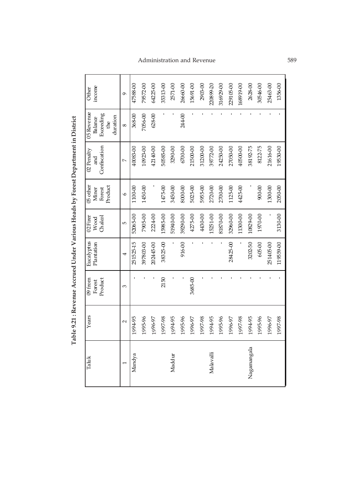| income<br>Other                                       | $\sigma$         | 47588-00  | 79572-00  | 64225-00   | 35313-00 | 2571-00  | 26660-00 | 15691-00 | 2903-00  | 220899-20 | 316929-00 | 229105-00 | 168919-00 | 2628-00     | 30546-00 | 25463-00  | 1356-00   |
|-------------------------------------------------------|------------------|-----------|-----------|------------|----------|----------|----------|----------|----------|-----------|-----------|-----------|-----------|-------------|----------|-----------|-----------|
| 05 Revenue<br>Exceeding<br>duration<br>Balance<br>the | $\infty$         | 368-00    | 7056-00   | $628 - 00$ |          |          | 244-00   |          |          |           |           |           |           |             |          |           |           |
| Confiscation<br>02 Penalty<br>រីជ                     | $\triangleright$ | 40083-00  | 10923-00  | 42140-00   | 50585-00 | 3290-00  | 6700-00  | 21500-00 | 31200-00 | 39772-00  | 24250-00  | 27050-00  | 10500-00  | 38192-75    | 8122-75  | 21616-00  | 19530-00  |
| 05 other<br>Product<br>Forest<br>Miner                | $\circ$          | 1100-00   | 1450-00   |            | 1475-00  | 3450-00  | 8000-00  | 5025-00  | 5955-00  | 2720-00   | 2700-00   | 1125-00   | 4425-00   |             | $00-00$  | 1300-00   | 2050-00   |
| 02 Firer<br>Wood<br>Chalcol                           | Ю                | 52065-00  | 7905-00   | 2224-00    | 15985-00 | 51940-00 | 39290-00 | 4275-00  | 4430-00  | 15251-00  | 81870-00  | 32960-00  | 11300-00  | 10829-00    | 1970-00  |           | 3130-00   |
| Eucalyptus<br>Plantation                              | 4                | 251525-15 | 397803-00 | 202445-00  | 38325-00 |          | 916-00   |          |          |           |           | 28425-00  |           | 3202-50     | 605-00   | 251405-00 | 119559-00 |
| 09 from<br>Product<br>Forest                          | 3                |           |           |            | 2150     |          |          | 3685-00  |          |           |           |           |           |             |          |           |           |
| Years                                                 | $\sim$           | 1994-95   | 1995-96   | 1996-97    | 1997-98  | 1994-95  | 1995-96  | 1996-97  | 1997-98  | 1994-95   | 1995-96   | 1996-97   | 1997-98   | 1994-95     | 1995-96  | 1996-97   | 1997-98   |
| Taluk                                                 |                  | Mandya    |           |            |          | Maddur   |          |          |          | Malavalli |           |           |           | Nagamangala |          |           |           |

Table 9.21 : Revenue Accrued Under Various Heads by Forest Department in District  **Table 9.21 : Revenue Accrued Under Various Heads by Forest Department in District**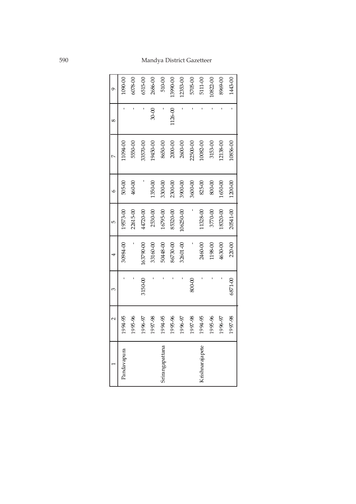# 590 Mandya District Gazetteer

| 9        | 00-0601     | $6078 - 00$ | 515-00    | 2686-00   | 510-00          | 13990-00    | 12353-00  | 5705-00  | 5111-00         | $10822 - 00$ | 8969-00  | 1443-00  |
|----------|-------------|-------------|-----------|-----------|-----------------|-------------|-----------|----------|-----------------|--------------|----------|----------|
| $\infty$ |             |             |           | $30 - 00$ |                 | $126 - 00$  |           |          |                 |              |          |          |
|          | 1094-00     | 5550-00     | 33570-00  | 19450-00  | 8650-00         | $2000 - 00$ | 2600-00   | 22500-00 | 10082-00        | 3153-00      | 12138-00 | 10856-00 |
| Ò        | 505-00      | $460 - 00$  |           | 1350-00   | 3300-00         | 2300-00     | 3900-00   | 3600-00  | 825-00          | 800-00       | 1650-00  | 1200-00  |
| 5        | 19573-00    | 22615-00    | 14720-00  | 2530-00   | 16795-00        | 85320-00    | 106250-00 |          | 1328-00         | 3770-00      | 18320-00 | 20541-00 |
| 4        | 30984-00    |             | 163790-00 | 33160-00  | 50448-00        | 86730-00    | 32601-00  |          | 2460-00         | 1198-00      | 4630-00  | 220-00   |
| 3        |             |             | 3150-00   |           |                 |             |           | 800-00   |                 |              |          | 6871-00  |
|          | 1994-95     | 1995-96     | 1996-97   | 1997-98   | 1994-95         | 1995-96     | 1996-97   | 1997-98  | 1994-95         | 1995-96      | 1996-97  | 1997-98  |
|          | Pandavapura |             |           |           | Srirangapattana |             |           |          | Krishnarajapete |              |          |          |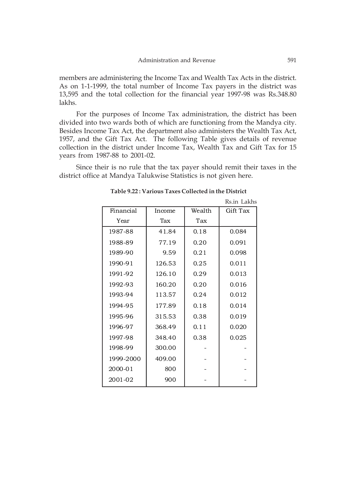members are administering the Income Tax and Wealth Tax Acts in the district. As on 1-1-1999, the total number of Income Tax payers in the district was 13,595 and the total collection for the financial year 1997-98 was Rs.348.80 lakhs.

For the purposes of Income Tax administration, the district has been divided into two wards both of which are functioning from the Mandya city. Besides Income Tax Act, the department also administers the Wealth Tax Act, 1957, and the Gift Tax Act. The following Table gives details of revenue collection in the district under Income Tax, Wealth Tax and Gift Tax for 15 years from 1987-88 to 2001-02.

Since their is no rule that the tax payer should remit their taxes in the district office at Mandya Talukwise Statistics is not given here.

|           |        |        | Rs.in Lakhs |
|-----------|--------|--------|-------------|
| Financial | Income | Wealth | Gift Tax    |
| Year      | Tax    | Tax    |             |
| 1987-88   | 41.84  | 0.18   | 0.084       |
| 1988-89   | 77.19  | 0.20   | 0.091       |
| 1989-90   | 9.59   | 0.21   | 0.098       |
| 1990-91   | 126.53 | 0.25   | 0.011       |
| 1991-92   | 126.10 | 0.29   | 0.013       |
| 1992-93   | 160.20 | 0.20   | 0.016       |
| 1993-94   | 113.57 | 0.24   | 0.012       |
| 1994-95   | 177.89 | 0.18   | 0.014       |
| 1995-96   | 315.53 | 0.38   | 0.019       |
| 1996-97   | 368.49 | 0.11   | 0.020       |
| 1997-98   | 348.40 | 0.38   | 0.025       |
| 1998-99   | 300.00 |        |             |
| 1999-2000 | 409.00 |        |             |
| 2000-01   | 800    |        |             |
| 2001-02   | 900    |        |             |

 **Table 9.22 : Various Taxes Collected in the District**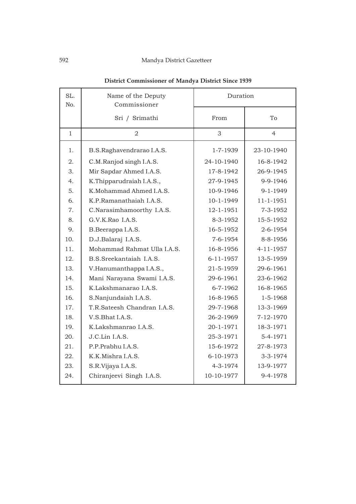# 592 Mandya District Gazetteer

| SL.<br>No.   | Name of the Deputy<br>Commissioner | Duration        |                |  |  |  |
|--------------|------------------------------------|-----------------|----------------|--|--|--|
|              | Sri / Srimathi                     | From            | To             |  |  |  |
| $\mathbf{1}$ | $\overline{2}$                     | 3               | $\overline{4}$ |  |  |  |
| 1.           | B.S.Raghavendrarao I.A.S.          | 1-7-1939        | 23-10-1940     |  |  |  |
| 2.           | C.M.Ranjod singh I.A.S.            | 24-10-1940      | 16-8-1942      |  |  |  |
| 3.           | Mir Sapdar Ahmed I.A.S.            | 17-8-1942       | 26-9-1945      |  |  |  |
| 4.           | K.Thipparudraiah I.A.S.,           | 27-9-1945       | 9-9-1946       |  |  |  |
| 5.           | K.Mohammad Ahmed I.A.S.            | 10-9-1946       | $9 - 1 - 1949$ |  |  |  |
| 6.           | K.P.Ramanathaiah I.A.S.            | 10-1-1949       | 11-1-1951      |  |  |  |
| 7.           | C.Narasimhamoorthy I.A.S.          | 12-1-1951       | 7-3-1952       |  |  |  |
| 8.           | G.V.K.Rao I.A.S.                   | 8-3-1952        | 15-5-1952      |  |  |  |
| 9.           | B.Beerappa I.A.S.                  | 16-5-1952       | 2-6-1954       |  |  |  |
| 10.          | D.J.Balaraj I.A.S.                 | $7 - 6 - 1954$  | 8-8-1956       |  |  |  |
| 11.          | Mohammad Rahmat Ulla I.A.S.        | 16-8-1956       | 4-11-1957      |  |  |  |
| 12.          | B.S.Sreekantaiah I.A.S.            | $6 - 11 - 1957$ | 13-5-1959      |  |  |  |
| 13.          | V.Hanumanthappa I.A.S.,            | 21-5-1959       | 29-6-1961      |  |  |  |
| 14.          | Mani Narayana Swami I.A.S.         | 29-6-1961       | 23-6-1962      |  |  |  |
| 15.          | K.Lakshmanarao I.A.S.              | $6 - 7 - 1962$  | 16-8-1965      |  |  |  |
| 16.          | S.Nanjundaiah I.A.S.               | 16-8-1965       | $1 - 5 - 1968$ |  |  |  |
| 17.          | T.R.Sateesh Chandran I.A.S.        | 29-7-1968       | 13-3-1969      |  |  |  |
| 18.          | V.S.Bhat I.A.S.                    | 26-2-1969       | 7-12-1970      |  |  |  |
| 19.          | K.Lakshmanrao I.A.S.               | 20-1-1971       | 18-3-1971      |  |  |  |
| 20.          | J.C.Lin I.A.S.                     | 25-3-1971       | 5-4-1971       |  |  |  |
| 21.          | P.P.Prabhu I.A.S.                  | 15-6-1972       | 27-8-1973      |  |  |  |
| 22.          | K.K.Mishra I.A.S.                  | 6-10-1973       | 3-3-1974       |  |  |  |
| 23.          | S.R.Vijaya I.A.S.                  | 4-3-1974        | 13-9-1977      |  |  |  |
| 24.          | Chiranjeevi Singh I.A.S.           | 10-10-1977      | 9-4-1978       |  |  |  |

# **District Commissioner of Mandya District Since 1939**